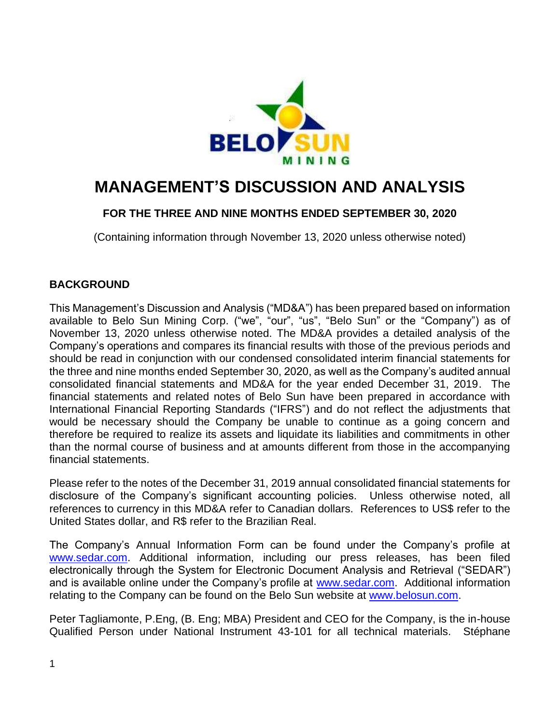

# **MANAGEMENT'S DISCUSSION AND ANALYSIS**

## **FOR THE THREE AND NINE MONTHS ENDED SEPTEMBER 30, 2020**

(Containing information through November 13, 2020 unless otherwise noted)

## **BACKGROUND**

This Management's Discussion and Analysis ("MD&A") has been prepared based on information available to Belo Sun Mining Corp. ("we", "our", "us", "Belo Sun" or the "Company") as of November 13, 2020 unless otherwise noted. The MD&A provides a detailed analysis of the Company's operations and compares its financial results with those of the previous periods and should be read in conjunction with our condensed consolidated interim financial statements for the three and nine months ended September 30, 2020, as well as the Company's audited annual consolidated financial statements and MD&A for the year ended December 31, 2019. The financial statements and related notes of Belo Sun have been prepared in accordance with International Financial Reporting Standards ("IFRS") and do not reflect the adjustments that would be necessary should the Company be unable to continue as a going concern and therefore be required to realize its assets and liquidate its liabilities and commitments in other than the normal course of business and at amounts different from those in the accompanying financial statements.

Please refer to the notes of the December 31, 2019 annual consolidated financial statements for disclosure of the Company's significant accounting policies. Unless otherwise noted, all references to currency in this MD&A refer to Canadian dollars. References to US\$ refer to the United States dollar, and R\$ refer to the Brazilian Real.

The Company's Annual Information Form can be found under the Company's profile at [www.sedar.com.](http://www.sedar.com/) Additional information, including our press releases, has been filed electronically through the System for Electronic Document Analysis and Retrieval ("SEDAR") and is available online under the Company's profile at [www.sedar.com.](http://www.sedar.com/) Additional information relating to the Company can be found on the Belo Sun website at [www.belosun.com.](http://www.belosun.com/)

Peter Tagliamonte, P.Eng, (B. Eng; MBA) President and CEO for the Company, is the in-house Qualified Person under National Instrument 43-101 for all technical materials. Stéphane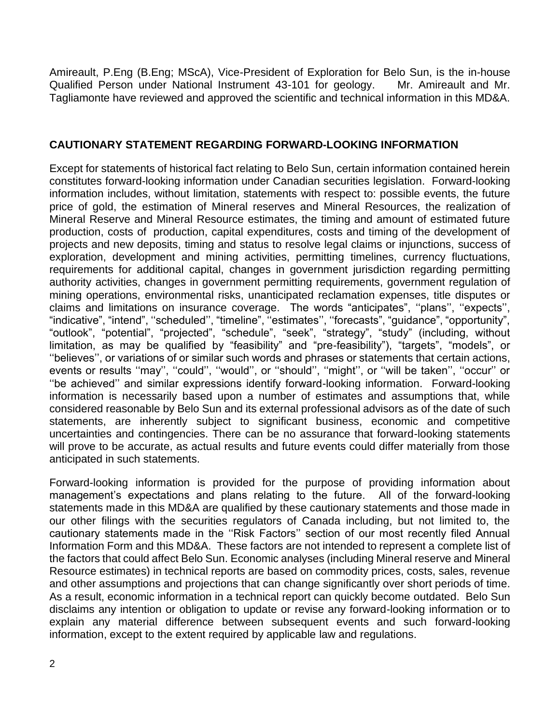Amireault, P.Eng (B.Eng; MScA), Vice-President of Exploration for Belo Sun, is the in-house Qualified Person under National Instrument 43-101 for geology. Mr. Amireault and Mr. Tagliamonte have reviewed and approved the scientific and technical information in this MD&A.

## **CAUTIONARY STATEMENT REGARDING FORWARD-LOOKING INFORMATION**

Except for statements of historical fact relating to Belo Sun, certain information contained herein constitutes forward-looking information under Canadian securities legislation. Forward-looking information includes, without limitation, statements with respect to: possible events, the future price of gold, the estimation of Mineral reserves and Mineral Resources, the realization of Mineral Reserve and Mineral Resource estimates, the timing and amount of estimated future production, costs of production, capital expenditures, costs and timing of the development of projects and new deposits, timing and status to resolve legal claims or injunctions, success of exploration, development and mining activities, permitting timelines, currency fluctuations, requirements for additional capital, changes in government jurisdiction regarding permitting authority activities, changes in government permitting requirements, government regulation of mining operations, environmental risks, unanticipated reclamation expenses, title disputes or claims and limitations on insurance coverage. The words "anticipates", ''plans'', ''expects'', "indicative", "intend", ''scheduled'', "timeline", ''estimates'', ''forecasts", "guidance", "opportunity", "outlook", "potential", "projected", "schedule", "seek", "strategy", "study" (including, without limitation, as may be qualified by "feasibility" and "pre-feasibility"), "targets", "models", or ''believes'', or variations of or similar such words and phrases or statements that certain actions, events or results ''may'', ''could'', ''would'', or ''should'', ''might'', or ''will be taken'', ''occur'' or ''be achieved'' and similar expressions identify forward-looking information. Forward-looking information is necessarily based upon a number of estimates and assumptions that, while considered reasonable by Belo Sun and its external professional advisors as of the date of such statements, are inherently subject to significant business, economic and competitive uncertainties and contingencies. There can be no assurance that forward-looking statements will prove to be accurate, as actual results and future events could differ materially from those anticipated in such statements.

Forward-looking information is provided for the purpose of providing information about management's expectations and plans relating to the future. All of the forward-looking statements made in this MD&A are qualified by these cautionary statements and those made in our other filings with the securities regulators of Canada including, but not limited to, the cautionary statements made in the ''Risk Factors'' section of our most recently filed Annual Information Form and this MD&A. These factors are not intended to represent a complete list of the factors that could affect Belo Sun. Economic analyses (including Mineral reserve and Mineral Resource estimates) in technical reports are based on commodity prices, costs, sales, revenue and other assumptions and projections that can change significantly over short periods of time. As a result, economic information in a technical report can quickly become outdated. Belo Sun disclaims any intention or obligation to update or revise any forward-looking information or to explain any material difference between subsequent events and such forward-looking information, except to the extent required by applicable law and regulations.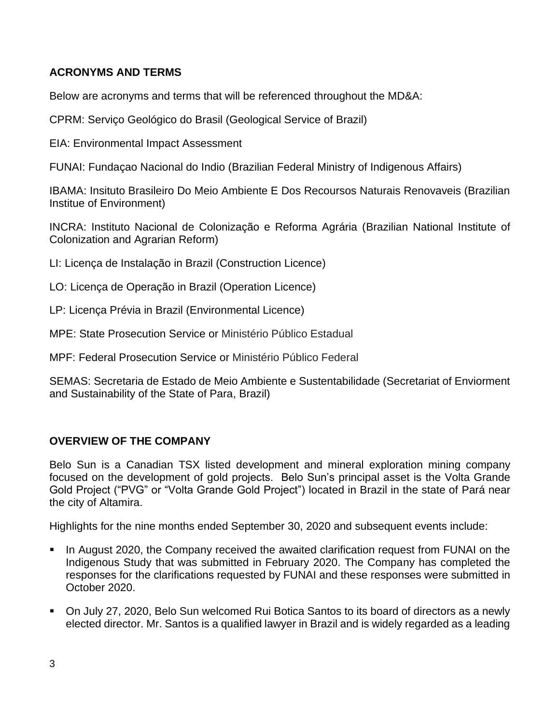# **ACRONYMS AND TERMS**

Below are acronyms and terms that will be referenced throughout the MD&A:

CPRM: Serviço Geológico do Brasil (Geological Service of Brazil)

EIA: Environmental Impact Assessment

FUNAI: Fundaçao Nacional do Indio (Brazilian Federal Ministry of Indigenous Affairs)

IBAMA: Insituto Brasileiro Do Meio Ambiente E Dos Recoursos Naturais Renovaveis (Brazilian Institue of Environment)

INCRA: Instituto Nacional de Colonização e Reforma Agrária (Brazilian National Institute of Colonization and Agrarian Reform)

LI: Licença de Instalação in Brazil (Construction Licence)

LO: Licença de Operação in Brazil (Operation Licence)

LP: Licença Prévia in Brazil (Environmental Licence)

MPE: State Prosecution Service or Ministério Público Estadual

MPF: Federal Prosecution Service or Ministério Público Federal

SEMAS: Secretaria de Estado de Meio Ambiente e Sustentabilidade (Secretariat of Enviorment and Sustainability of the State of Para, Brazil)

## **OVERVIEW OF THE COMPANY**

Belo Sun is a Canadian TSX listed development and mineral exploration mining company focused on the development of gold projects. Belo Sun's principal asset is the Volta Grande Gold Project ("PVG" or "Volta Grande Gold Project") located in Brazil in the state of Pará near the city of Altamira.

Highlights for the nine months ended September 30, 2020 and subsequent events include:

- In August 2020, the Company received the awaited clarification request from FUNAI on the Indigenous Study that was submitted in February 2020. The Company has completed the responses for the clarifications requested by FUNAI and these responses were submitted in October 2020.
- On July 27, 2020, Belo Sun welcomed Rui Botica Santos to its board of directors as a newly elected director. Mr. Santos is a qualified lawyer in Brazil and is widely regarded as a leading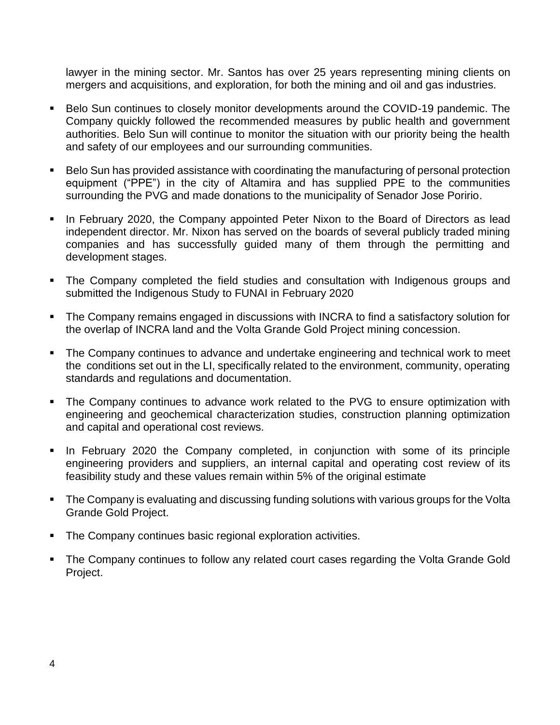lawyer in the mining sector. Mr. Santos has over 25 years representing mining clients on mergers and acquisitions, and exploration, for both the mining and oil and gas industries.

- Belo Sun continues to closely monitor developments around the COVID-19 pandemic. The Company quickly followed the recommended measures by public health and government authorities. Belo Sun will continue to monitor the situation with our priority being the health and safety of our employees and our surrounding communities.
- Belo Sun has provided assistance with coordinating the manufacturing of personal protection equipment ("PPE") in the city of Altamira and has supplied PPE to the communities surrounding the PVG and made donations to the municipality of Senador Jose Poririo.
- **.** In February 2020, the Company appointed Peter Nixon to the Board of Directors as lead independent director. Mr. Nixon has served on the boards of several publicly traded mining companies and has successfully guided many of them through the permitting and development stages.
- The Company completed the field studies and consultation with Indigenous groups and submitted the Indigenous Study to FUNAI in February 2020
- The Company remains engaged in discussions with INCRA to find a satisfactory solution for the overlap of INCRA land and the Volta Grande Gold Project mining concession.
- The Company continues to advance and undertake engineering and technical work to meet the conditions set out in the LI, specifically related to the environment, community, operating standards and regulations and documentation.
- The Company continues to advance work related to the PVG to ensure optimization with engineering and geochemical characterization studies, construction planning optimization and capital and operational cost reviews.
- **•** In February 2020 the Company completed, in conjunction with some of its principle engineering providers and suppliers, an internal capital and operating cost review of its feasibility study and these values remain within 5% of the original estimate
- **•** The Company is evaluating and discussing funding solutions with various groups for the Volta Grande Gold Project.
- The Company continues basic regional exploration activities.
- The Company continues to follow any related court cases regarding the Volta Grande Gold Project.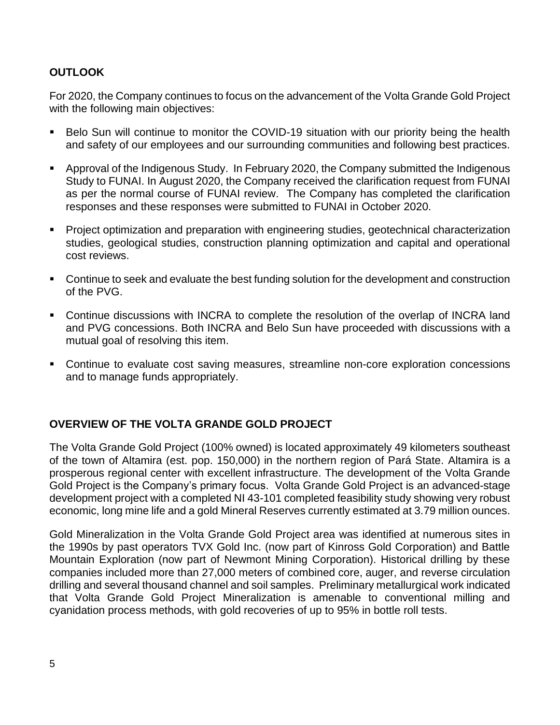## **OUTLOOK**

For 2020, the Company continues to focus on the advancement of the Volta Grande Gold Project with the following main objectives:

- Belo Sun will continue to monitor the COVID-19 situation with our priority being the health and safety of our employees and our surrounding communities and following best practices.
- Approval of the Indigenous Study. In February 2020, the Company submitted the Indigenous Study to FUNAI. In August 2020, the Company received the clarification request from FUNAI as per the normal course of FUNAI review. The Company has completed the clarification responses and these responses were submitted to FUNAI in October 2020.
- Project optimization and preparation with engineering studies, geotechnical characterization studies, geological studies, construction planning optimization and capital and operational cost reviews.
- Continue to seek and evaluate the best funding solution for the development and construction of the PVG.
- Continue discussions with INCRA to complete the resolution of the overlap of INCRA land and PVG concessions. Both INCRA and Belo Sun have proceeded with discussions with a mutual goal of resolving this item.
- Continue to evaluate cost saving measures, streamline non-core exploration concessions and to manage funds appropriately.

#### **OVERVIEW OF THE VOLTA GRANDE GOLD PROJECT**

The Volta Grande Gold Project (100% owned) is located approximately 49 kilometers southeast of the town of Altamira (est. pop. 150,000) in the northern region of Pará State. Altamira is a prosperous regional center with excellent infrastructure. The development of the Volta Grande Gold Project is the Company's primary focus. Volta Grande Gold Project is an advanced-stage development project with a completed NI 43-101 completed feasibility study showing very robust economic, long mine life and a gold Mineral Reserves currently estimated at 3.79 million ounces.

Gold Mineralization in the Volta Grande Gold Project area was identified at numerous sites in the 1990s by past operators TVX Gold Inc. (now part of Kinross Gold Corporation) and Battle Mountain Exploration (now part of Newmont Mining Corporation). Historical drilling by these companies included more than 27,000 meters of combined core, auger, and reverse circulation drilling and several thousand channel and soil samples. Preliminary metallurgical work indicated that Volta Grande Gold Project Mineralization is amenable to conventional milling and cyanidation process methods, with gold recoveries of up to 95% in bottle roll tests.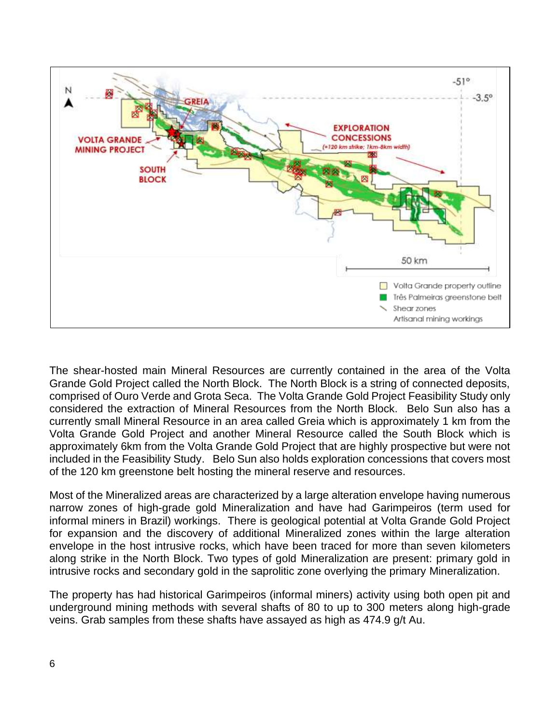

The shear-hosted main Mineral Resources are currently contained in the area of the Volta Grande Gold Project called the North Block. The North Block is a string of connected deposits, comprised of Ouro Verde and Grota Seca. The Volta Grande Gold Project Feasibility Study only considered the extraction of Mineral Resources from the North Block. Belo Sun also has a currently small Mineral Resource in an area called Greia which is approximately 1 km from the Volta Grande Gold Project and another Mineral Resource called the South Block which is approximately 6km from the Volta Grande Gold Project that are highly prospective but were not included in the Feasibility Study. Belo Sun also holds exploration concessions that covers most of the 120 km greenstone belt hosting the mineral reserve and resources.

Most of the Mineralized areas are characterized by a large alteration envelope having numerous narrow zones of high-grade gold Mineralization and have had Garimpeiros (term used for informal miners in Brazil) workings. There is geological potential at Volta Grande Gold Project for expansion and the discovery of additional Mineralized zones within the large alteration envelope in the host intrusive rocks, which have been traced for more than seven kilometers along strike in the North Block. Two types of gold Mineralization are present: primary gold in intrusive rocks and secondary gold in the saprolitic zone overlying the primary Mineralization.

The property has had historical Garimpeiros (informal miners) activity using both open pit and underground mining methods with several shafts of 80 to up to 300 meters along high-grade veins. Grab samples from these shafts have assayed as high as 474.9 g/t Au.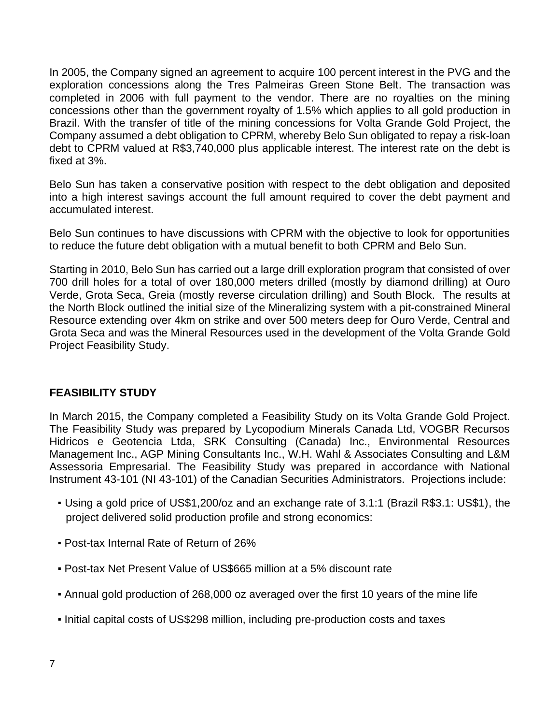In 2005, the Company signed an agreement to acquire 100 percent interest in the PVG and the exploration concessions along the Tres Palmeiras Green Stone Belt. The transaction was completed in 2006 with full payment to the vendor. There are no royalties on the mining concessions other than the government royalty of 1.5% which applies to all gold production in Brazil. With the transfer of title of the mining concessions for Volta Grande Gold Project, the Company assumed a debt obligation to CPRM, whereby Belo Sun obligated to repay a risk-loan debt to CPRM valued at R\$3,740,000 plus applicable interest. The interest rate on the debt is fixed at 3%.

Belo Sun has taken a conservative position with respect to the debt obligation and deposited into a high interest savings account the full amount required to cover the debt payment and accumulated interest.

Belo Sun continues to have discussions with CPRM with the objective to look for opportunities to reduce the future debt obligation with a mutual benefit to both CPRM and Belo Sun.

Starting in 2010, Belo Sun has carried out a large drill exploration program that consisted of over 700 drill holes for a total of over 180,000 meters drilled (mostly by diamond drilling) at Ouro Verde, Grota Seca, Greia (mostly reverse circulation drilling) and South Block. The results at the North Block outlined the initial size of the Mineralizing system with a pit-constrained Mineral Resource extending over 4km on strike and over 500 meters deep for Ouro Verde, Central and Grota Seca and was the Mineral Resources used in the development of the Volta Grande Gold Project Feasibility Study.

## **FEASIBILITY STUDY**

In March 2015, the Company completed a Feasibility Study on its Volta Grande Gold Project. The Feasibility Study was prepared by Lycopodium Minerals Canada Ltd, VOGBR Recursos Hidricos e Geotencia Ltda, SRK Consulting (Canada) Inc., Environmental Resources Management Inc., AGP Mining Consultants Inc., W.H. Wahl & Associates Consulting and L&M Assessoria Empresarial. The Feasibility Study was prepared in accordance with National Instrument 43-101 (NI 43-101) of the Canadian Securities Administrators. Projections include:

- Using a gold price of US\$1,200/oz and an exchange rate of 3.1:1 (Brazil R\$3.1: US\$1), the project delivered solid production profile and strong economics:
- Post-tax Internal Rate of Return of 26%
- Post-tax Net Present Value of US\$665 million at a 5% discount rate
- Annual gold production of 268,000 oz averaged over the first 10 years of the mine life
- Initial capital costs of US\$298 million, including pre-production costs and taxes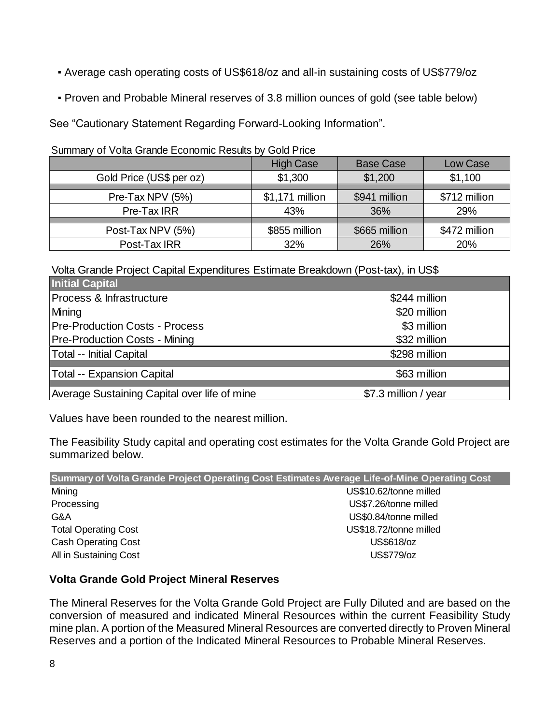- Average cash operating costs of US\$618/oz and all-in sustaining costs of US\$779/oz
- Proven and Probable Mineral reserves of 3.8 million ounces of gold (see table below)

See "Cautionary Statement Regarding Forward-Looking Information".

Summary of Volta Grande Economic Results by Gold Price

|                          | <b>High Case</b> | <b>Base Case</b> | Low Case      |  |  |  |  |  |
|--------------------------|------------------|------------------|---------------|--|--|--|--|--|
| Gold Price (US\$ per oz) | \$1,300          | \$1,200          | \$1,100       |  |  |  |  |  |
|                          |                  |                  |               |  |  |  |  |  |
| Pre-Tax NPV (5%)         | \$1,171 million  | \$941 million    | \$712 million |  |  |  |  |  |
| Pre-Tax IRR              | 43%              | 36%              | 29%           |  |  |  |  |  |
|                          |                  |                  |               |  |  |  |  |  |
| Post-Tax NPV (5%)        | \$855 million    | \$665 million    | \$472 million |  |  |  |  |  |
| Post-Tax IRR             | 32%              | 26%              | 20%           |  |  |  |  |  |

Volta Grande Project Capital Expenditures Estimate Breakdown (Post-tax), in US\$

| <b>Initial Capital</b>                       |                      |
|----------------------------------------------|----------------------|
| Process & Infrastructure                     | \$244 million        |
| Mining                                       | \$20 million         |
| <b>Pre-Production Costs - Process</b>        | \$3 million          |
| <b>Pre-Production Costs - Mining</b>         | \$32 million         |
| <b>Total -- Initial Capital</b>              | \$298 million        |
| <b>Total -- Expansion Capital</b>            | \$63 million         |
| Average Sustaining Capital over life of mine | \$7.3 million / year |

Values have been rounded to the nearest million.

The Feasibility Study capital and operating cost estimates for the Volta Grande Gold Project are summarized below.

| Summary of Volta Grande Project Operating Cost Estimates Average Life-of-Mine Operating Cost |                        |  |  |  |  |  |
|----------------------------------------------------------------------------------------------|------------------------|--|--|--|--|--|
| Mining                                                                                       | US\$10.62/tonne milled |  |  |  |  |  |
| Processing                                                                                   | US\$7.26/tonne milled  |  |  |  |  |  |
| G&A                                                                                          | US\$0.84/tonne milled  |  |  |  |  |  |
| <b>Total Operating Cost</b>                                                                  | US\$18.72/tonne milled |  |  |  |  |  |
| <b>Cash Operating Cost</b>                                                                   | US\$618/oz             |  |  |  |  |  |
| All in Sustaining Cost                                                                       | US\$779/oz             |  |  |  |  |  |

# **Volta Grande Gold Project Mineral Reserves**

The Mineral Reserves for the Volta Grande Gold Project are Fully Diluted and are based on the conversion of measured and indicated Mineral Resources within the current Feasibility Study mine plan. A portion of the Measured Mineral Resources are converted directly to Proven Mineral Reserves and a portion of the Indicated Mineral Resources to Probable Mineral Reserves.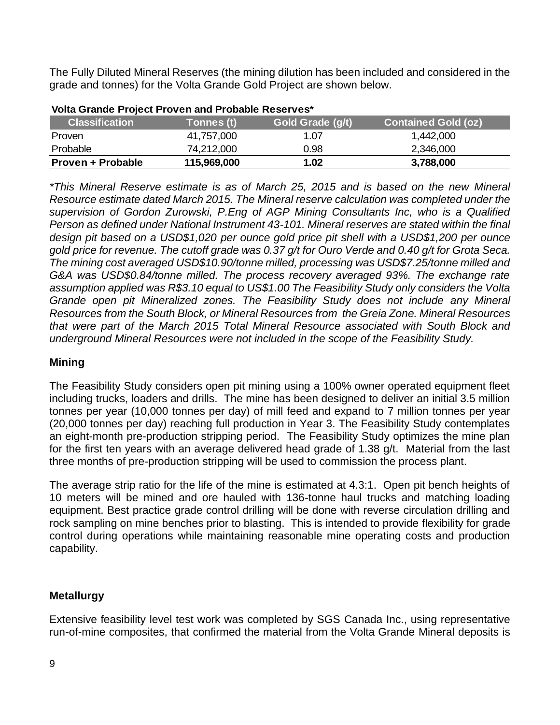The Fully Diluted Mineral Reserves (the mining dilution has been included and considered in the grade and tonnes) for the Volta Grande Gold Project are shown below.

| <b>Classification</b> | Tonnes (t)  | Gold Grade (g/t) | <b>Contained Gold (oz)</b> |
|-----------------------|-------------|------------------|----------------------------|
| <b>Proven</b>         | 41,757,000  | 1.07             | 1,442,000                  |
| Probable              | 74,212,000  | 0.98             | 2,346,000                  |
| Proven + Probable     | 115,969,000 | 1.02             | 3,788,000                  |

*\*This Mineral Reserve estimate is as of March 25, 2015 and is based on the new Mineral Resource estimate dated March 2015. The Mineral reserve calculation was completed under the supervision of Gordon Zurowski, P.Eng of AGP Mining Consultants Inc, who is a Qualified Person as defined under National Instrument 43-101. Mineral reserves are stated within the final design pit based on a USD\$1,020 per ounce gold price pit shell with a USD\$1,200 per ounce gold price for revenue. The cutoff grade was 0.37 g/t for Ouro Verde and 0.40 g/t for Grota Seca. The mining cost averaged USD\$10.90/tonne milled, processing was USD\$7.25/tonne milled and G&A was USD\$0.84/tonne milled. The process recovery averaged 93%. The exchange rate assumption applied was R\$3.10 equal to US\$1.00 The Feasibility Study only considers the Volta Grande open pit Mineralized zones. The Feasibility Study does not include any Mineral Resources from the South Block, or Mineral Resources from the Greia Zone. Mineral Resources that were part of the March 2015 Total Mineral Resource associated with South Block and underground Mineral Resources were not included in the scope of the Feasibility Study.* 

#### **Mining**

The Feasibility Study considers open pit mining using a 100% owner operated equipment fleet including trucks, loaders and drills. The mine has been designed to deliver an initial 3.5 million tonnes per year (10,000 tonnes per day) of mill feed and expand to 7 million tonnes per year (20,000 tonnes per day) reaching full production in Year 3. The Feasibility Study contemplates an eight-month pre-production stripping period. The Feasibility Study optimizes the mine plan for the first ten years with an average delivered head grade of 1.38 g/t. Material from the last three months of pre-production stripping will be used to commission the process plant.

The average strip ratio for the life of the mine is estimated at 4.3:1. Open pit bench heights of 10 meters will be mined and ore hauled with 136-tonne haul trucks and matching loading equipment. Best practice grade control drilling will be done with reverse circulation drilling and rock sampling on mine benches prior to blasting. This is intended to provide flexibility for grade control during operations while maintaining reasonable mine operating costs and production capability.

## **Metallurgy**

Extensive feasibility level test work was completed by SGS Canada Inc., using representative run-of-mine composites, that confirmed the material from the Volta Grande Mineral deposits is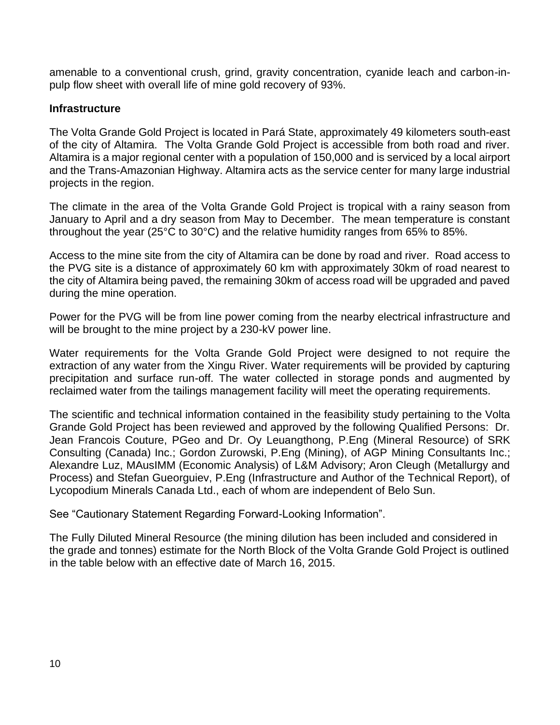amenable to a conventional crush, grind, gravity concentration, cyanide leach and carbon-inpulp flow sheet with overall life of mine gold recovery of 93%.

#### **Infrastructure**

The Volta Grande Gold Project is located in Pará State, approximately 49 kilometers south-east of the city of Altamira. The Volta Grande Gold Project is accessible from both road and river. Altamira is a major regional center with a population of 150,000 and is serviced by a local airport and the Trans-Amazonian Highway. Altamira acts as the service center for many large industrial projects in the region.

The climate in the area of the Volta Grande Gold Project is tropical with a rainy season from January to April and a dry season from May to December. The mean temperature is constant throughout the year (25°C to 30°C) and the relative humidity ranges from 65% to 85%.

Access to the mine site from the city of Altamira can be done by road and river. Road access to the PVG site is a distance of approximately 60 km with approximately 30km of road nearest to the city of Altamira being paved, the remaining 30km of access road will be upgraded and paved during the mine operation.

Power for the PVG will be from line power coming from the nearby electrical infrastructure and will be brought to the mine project by a 230-kV power line.

Water requirements for the Volta Grande Gold Project were designed to not require the extraction of any water from the Xingu River. Water requirements will be provided by capturing precipitation and surface run-off. The water collected in storage ponds and augmented by reclaimed water from the tailings management facility will meet the operating requirements.

The scientific and technical information contained in the feasibility study pertaining to the Volta Grande Gold Project has been reviewed and approved by the following Qualified Persons: Dr. Jean Francois Couture, PGeo and Dr. Oy Leuangthong, P.Eng (Mineral Resource) of SRK Consulting (Canada) Inc.; Gordon Zurowski, P.Eng (Mining), of AGP Mining Consultants Inc.; Alexandre Luz, MAusIMM (Economic Analysis) of L&M Advisory; Aron Cleugh (Metallurgy and Process) and Stefan Gueorguiev, P.Eng (Infrastructure and Author of the Technical Report), of Lycopodium Minerals Canada Ltd., each of whom are independent of Belo Sun.

See "Cautionary Statement Regarding Forward-Looking Information".

The Fully Diluted Mineral Resource (the mining dilution has been included and considered in the grade and tonnes) estimate for the North Block of the Volta Grande Gold Project is outlined in the table below with an effective date of March 16, 2015.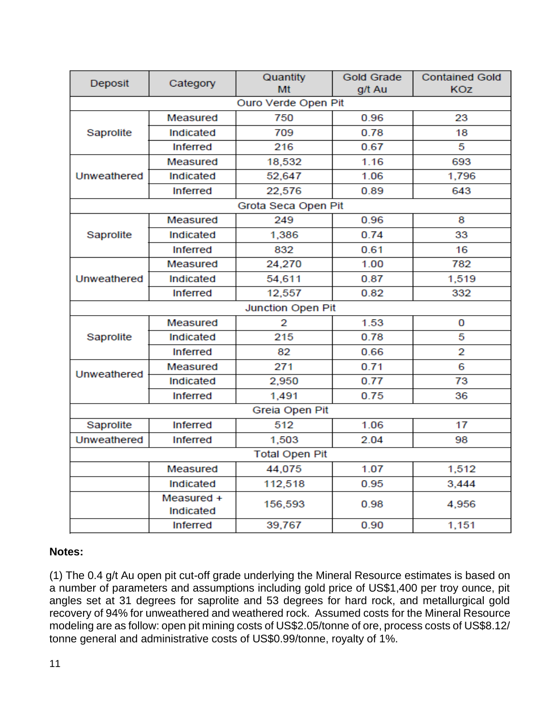| Deposit             | Category                | <b>Gold Grade</b>     | <b>Contained Gold</b> |            |  |  |  |  |  |
|---------------------|-------------------------|-----------------------|-----------------------|------------|--|--|--|--|--|
|                     |                         | Mt                    | g/t Au                | <b>KOZ</b> |  |  |  |  |  |
|                     |                         | Ouro Verde Open Pit   |                       |            |  |  |  |  |  |
|                     | Measured                | 750                   | 0.96                  | 23         |  |  |  |  |  |
| Saprolite           | Indicated               | 709                   | 0.78                  | 18         |  |  |  |  |  |
|                     | <b>Inferred</b>         | 216                   | 0.67                  | 5          |  |  |  |  |  |
|                     | Measured                | 18,532                | 1.16                  | 693        |  |  |  |  |  |
| Unweathered         | Indicated               | 52,647                | 1.06                  | 1,796      |  |  |  |  |  |
|                     | Inferred                | 22,576                | 0.89                  | 643        |  |  |  |  |  |
| Grota Seca Open Pit |                         |                       |                       |            |  |  |  |  |  |
|                     | Measured                | 249                   | 0.96                  | 8          |  |  |  |  |  |
| Saprolite           | Indicated               | 1,386                 | 0.74                  | 33         |  |  |  |  |  |
|                     | <b>Inferred</b>         | 832                   | 0.61                  | 16         |  |  |  |  |  |
|                     | Measured                | 24,270                | 1.00                  | 782        |  |  |  |  |  |
| Unweathered         | Indicated               | 54,611<br>0.87        |                       | 1,519      |  |  |  |  |  |
|                     | <b>Inferred</b>         | 12,557                | 0.82                  | 332        |  |  |  |  |  |
|                     |                         | Junction Open Pit     |                       |            |  |  |  |  |  |
|                     | Measured                | 2                     | 1.53                  | 0          |  |  |  |  |  |
| Saprolite           | Indicated               | 215                   | 0.78                  | 5          |  |  |  |  |  |
|                     | <b>Inferred</b>         | 82<br>0.66            |                       | 2          |  |  |  |  |  |
| Unweathered         | Measured                | 271                   | 0.71                  | 6          |  |  |  |  |  |
|                     | Indicated               | 2,950                 | 0.77                  | 73         |  |  |  |  |  |
|                     | <b>Inferred</b>         | 1,491                 | 0.75                  | 36         |  |  |  |  |  |
|                     |                         | Greia Open Pit        |                       |            |  |  |  |  |  |
| Saprolite           | <b>Inferred</b>         | 512                   | 1.06                  | 17         |  |  |  |  |  |
| Unweathered         | <b>Inferred</b>         | 1,503                 | 2.04                  | 98         |  |  |  |  |  |
|                     |                         | <b>Total Open Pit</b> |                       |            |  |  |  |  |  |
|                     | Measured                | 44,075                | 1.07                  | 1,512      |  |  |  |  |  |
|                     | Indicated               | 112,518               | 0.95                  | 3,444      |  |  |  |  |  |
|                     | Measured +<br>Indicated | 156,593               | 0.98                  | 4,956      |  |  |  |  |  |
|                     | <b>Inferred</b>         | 39,767                | 0.90                  | 1,151      |  |  |  |  |  |

#### **Notes:**

(1) The 0.4 g/t Au open pit cut-off grade underlying the Mineral Resource estimates is based on a number of parameters and assumptions including gold price of US\$1,400 per troy ounce, pit angles set at 31 degrees for saprolite and 53 degrees for hard rock, and metallurgical gold recovery of 94% for unweathered and weathered rock. Assumed costs for the Mineral Resource modeling are as follow: open pit mining costs of US\$2.05/tonne of ore, process costs of US\$8.12/ tonne general and administrative costs of US\$0.99/tonne, royalty of 1%.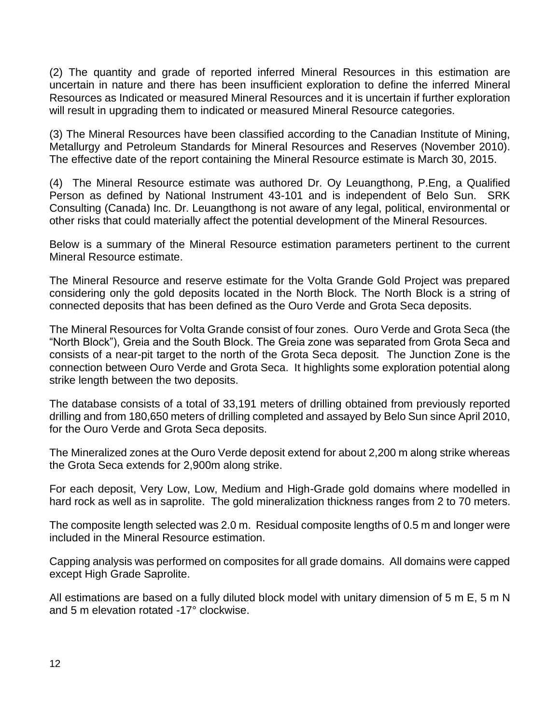(2) The quantity and grade of reported inferred Mineral Resources in this estimation are uncertain in nature and there has been insufficient exploration to define the inferred Mineral Resources as Indicated or measured Mineral Resources and it is uncertain if further exploration will result in upgrading them to indicated or measured Mineral Resource categories.

(3) The Mineral Resources have been classified according to the Canadian Institute of Mining, Metallurgy and Petroleum Standards for Mineral Resources and Reserves (November 2010). The effective date of the report containing the Mineral Resource estimate is March 30, 2015.

(4) The Mineral Resource estimate was authored Dr. Oy Leuangthong, P.Eng, a Qualified Person as defined by National Instrument 43-101 and is independent of Belo Sun. SRK Consulting (Canada) Inc. Dr. Leuangthong is not aware of any legal, political, environmental or other risks that could materially affect the potential development of the Mineral Resources.

Below is a summary of the Mineral Resource estimation parameters pertinent to the current Mineral Resource estimate.

The Mineral Resource and reserve estimate for the Volta Grande Gold Project was prepared considering only the gold deposits located in the North Block. The North Block is a string of connected deposits that has been defined as the Ouro Verde and Grota Seca deposits.

The Mineral Resources for Volta Grande consist of four zones. Ouro Verde and Grota Seca (the "North Block"), Greia and the South Block. The Greia zone was separated from Grota Seca and consists of a near-pit target to the north of the Grota Seca deposit. The Junction Zone is the connection between Ouro Verde and Grota Seca. It highlights some exploration potential along strike length between the two deposits.

The database consists of a total of 33,191 meters of drilling obtained from previously reported drilling and from 180,650 meters of drilling completed and assayed by Belo Sun since April 2010, for the Ouro Verde and Grota Seca deposits.

The Mineralized zones at the Ouro Verde deposit extend for about 2,200 m along strike whereas the Grota Seca extends for 2,900m along strike.

For each deposit, Very Low, Low, Medium and High-Grade gold domains where modelled in hard rock as well as in saprolite. The gold mineralization thickness ranges from 2 to 70 meters.

The composite length selected was 2.0 m. Residual composite lengths of 0.5 m and longer were included in the Mineral Resource estimation.

Capping analysis was performed on composites for all grade domains. All domains were capped except High Grade Saprolite.

All estimations are based on a fully diluted block model with unitary dimension of 5 m E, 5 m N and 5 m elevation rotated -17° clockwise.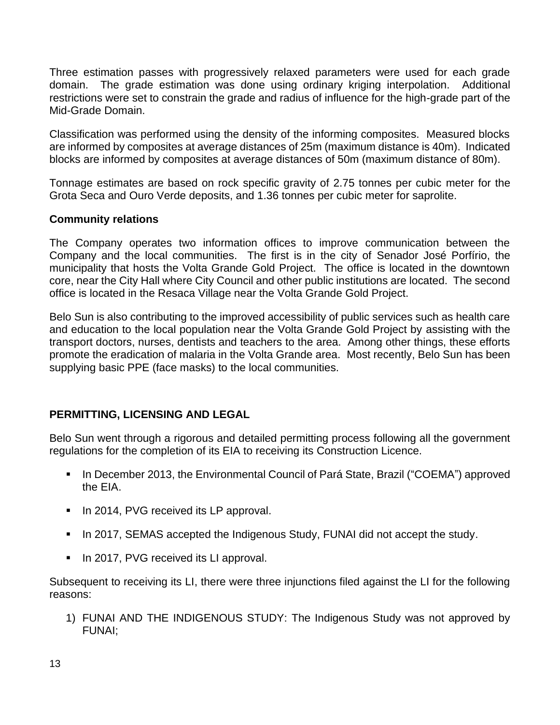Three estimation passes with progressively relaxed parameters were used for each grade domain. The grade estimation was done using ordinary kriging interpolation. Additional restrictions were set to constrain the grade and radius of influence for the high-grade part of the Mid-Grade Domain.

Classification was performed using the density of the informing composites. Measured blocks are informed by composites at average distances of 25m (maximum distance is 40m). Indicated blocks are informed by composites at average distances of 50m (maximum distance of 80m).

Tonnage estimates are based on rock specific gravity of 2.75 tonnes per cubic meter for the Grota Seca and Ouro Verde deposits, and 1.36 tonnes per cubic meter for saprolite.

#### **Community relations**

The Company operates two information offices to improve communication between the Company and the local communities. The first is in the city of Senador José Porfírio, the municipality that hosts the Volta Grande Gold Project. The office is located in the downtown core, near the City Hall where City Council and other public institutions are located. The second office is located in the Resaca Village near the Volta Grande Gold Project.

Belo Sun is also contributing to the improved accessibility of public services such as health care and education to the local population near the Volta Grande Gold Project by assisting with the transport doctors, nurses, dentists and teachers to the area. Among other things, these efforts promote the eradication of malaria in the Volta Grande area. Most recently, Belo Sun has been supplying basic PPE (face masks) to the local communities.

## **PERMITTING, LICENSING AND LEGAL**

Belo Sun went through a rigorous and detailed permitting process following all the government regulations for the completion of its EIA to receiving its Construction Licence.

- In December 2013, the Environmental Council of Pará State, Brazil ("COEMA") approved the EIA.
- In 2014, PVG received its LP approval.
- In 2017, SEMAS accepted the Indigenous Study, FUNAI did not accept the study.
- In 2017, PVG received its LI approval.

Subsequent to receiving its LI, there were three injunctions filed against the LI for the following reasons:

1) FUNAI AND THE INDIGENOUS STUDY: The Indigenous Study was not approved by FUNAI;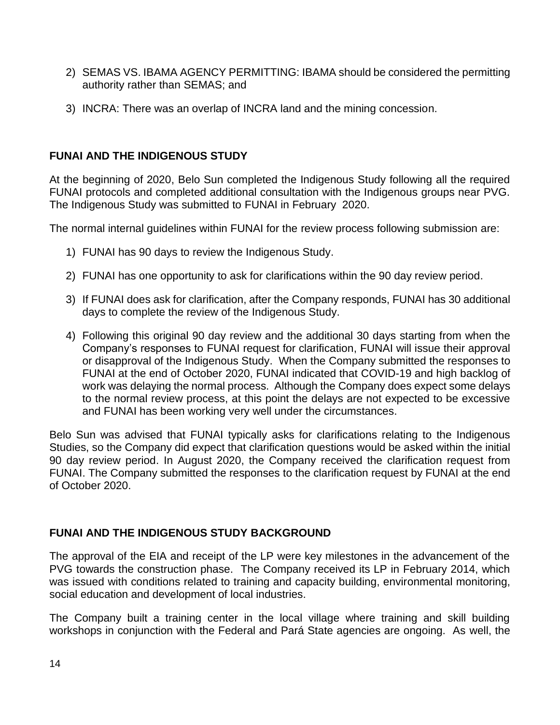- 2) SEMAS VS. IBAMA AGENCY PERMITTING: IBAMA should be considered the permitting authority rather than SEMAS; and
- 3) INCRA: There was an overlap of INCRA land and the mining concession.

## **FUNAI AND THE INDIGENOUS STUDY**

At the beginning of 2020, Belo Sun completed the Indigenous Study following all the required FUNAI protocols and completed additional consultation with the Indigenous groups near PVG. The Indigenous Study was submitted to FUNAI in February 2020.

The normal internal guidelines within FUNAI for the review process following submission are:

- 1) FUNAI has 90 days to review the Indigenous Study.
- 2) FUNAI has one opportunity to ask for clarifications within the 90 day review period.
- 3) If FUNAI does ask for clarification, after the Company responds, FUNAI has 30 additional days to complete the review of the Indigenous Study.
- 4) Following this original 90 day review and the additional 30 days starting from when the Company's responses to FUNAI request for clarification, FUNAI will issue their approval or disapproval of the Indigenous Study. When the Company submitted the responses to FUNAI at the end of October 2020, FUNAI indicated that COVID-19 and high backlog of work was delaying the normal process. Although the Company does expect some delays to the normal review process, at this point the delays are not expected to be excessive and FUNAI has been working very well under the circumstances.

Belo Sun was advised that FUNAI typically asks for clarifications relating to the Indigenous Studies, so the Company did expect that clarification questions would be asked within the initial 90 day review period. In August 2020, the Company received the clarification request from FUNAI. The Company submitted the responses to the clarification request by FUNAI at the end of October 2020.

# **FUNAI AND THE INDIGENOUS STUDY BACKGROUND**

The approval of the EIA and receipt of the LP were key milestones in the advancement of the PVG towards the construction phase. The Company received its LP in February 2014, which was issued with conditions related to training and capacity building, environmental monitoring, social education and development of local industries.

The Company built a training center in the local village where training and skill building workshops in conjunction with the Federal and Pará State agencies are ongoing. As well, the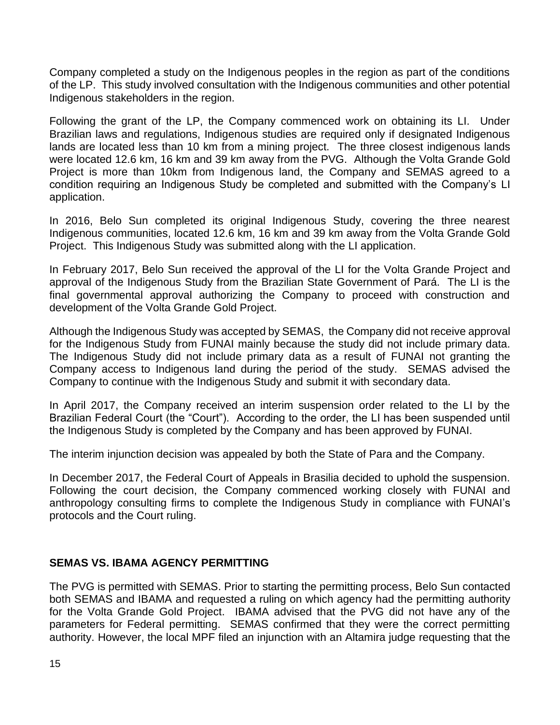Company completed a study on the Indigenous peoples in the region as part of the conditions of the LP. This study involved consultation with the Indigenous communities and other potential Indigenous stakeholders in the region.

Following the grant of the LP, the Company commenced work on obtaining its LI. Under Brazilian laws and regulations, Indigenous studies are required only if designated Indigenous lands are located less than 10 km from a mining project. The three closest indigenous lands were located 12.6 km, 16 km and 39 km away from the PVG. Although the Volta Grande Gold Project is more than 10km from Indigenous land, the Company and SEMAS agreed to a condition requiring an Indigenous Study be completed and submitted with the Company's LI application.

In 2016, Belo Sun completed its original Indigenous Study, covering the three nearest Indigenous communities, located 12.6 km, 16 km and 39 km away from the Volta Grande Gold Project. This Indigenous Study was submitted along with the LI application.

In February 2017, Belo Sun received the approval of the LI for the Volta Grande Project and approval of the Indigenous Study from the Brazilian State Government of Pará. The LI is the final governmental approval authorizing the Company to proceed with construction and development of the Volta Grande Gold Project.

Although the Indigenous Study was accepted by SEMAS, the Company did not receive approval for the Indigenous Study from FUNAI mainly because the study did not include primary data. The Indigenous Study did not include primary data as a result of FUNAI not granting the Company access to Indigenous land during the period of the study. SEMAS advised the Company to continue with the Indigenous Study and submit it with secondary data.

In April 2017, the Company received an interim suspension order related to the LI by the Brazilian Federal Court (the "Court"). According to the order, the LI has been suspended until the Indigenous Study is completed by the Company and has been approved by FUNAI.

The interim injunction decision was appealed by both the State of Para and the Company.

In December 2017, the Federal Court of Appeals in Brasilia decided to uphold the suspension. Following the court decision, the Company commenced working closely with FUNAI and anthropology consulting firms to complete the Indigenous Study in compliance with FUNAI's protocols and the Court ruling.

#### **SEMAS VS. IBAMA AGENCY PERMITTING**

The PVG is permitted with SEMAS. Prior to starting the permitting process, Belo Sun contacted both SEMAS and IBAMA and requested a ruling on which agency had the permitting authority for the Volta Grande Gold Project. IBAMA advised that the PVG did not have any of the parameters for Federal permitting. SEMAS confirmed that they were the correct permitting authority. However, the local MPF filed an injunction with an Altamira judge requesting that the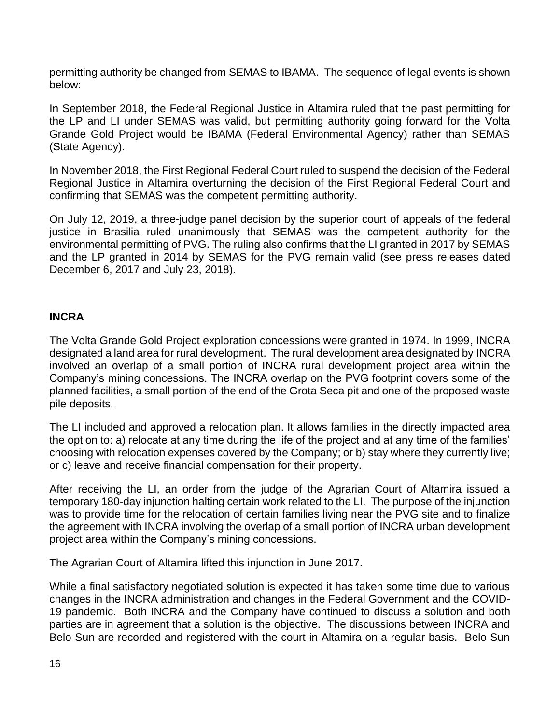permitting authority be changed from SEMAS to IBAMA. The sequence of legal events is shown below:

In September 2018, the Federal Regional Justice in Altamira ruled that the past permitting for the LP and LI under SEMAS was valid, but permitting authority going forward for the Volta Grande Gold Project would be IBAMA (Federal Environmental Agency) rather than SEMAS (State Agency).

In November 2018, the First Regional Federal Court ruled to suspend the decision of the Federal Regional Justice in Altamira overturning the decision of the First Regional Federal Court and confirming that SEMAS was the competent permitting authority.

On July 12, 2019, a three-judge panel decision by the superior court of appeals of the federal justice in Brasilia ruled unanimously that SEMAS was the competent authority for the environmental permitting of PVG. The ruling also confirms that the LI granted in 2017 by SEMAS and the LP granted in 2014 by SEMAS for the PVG remain valid (see press releases dated December 6, 2017 and July 23, 2018).

#### **INCRA**

The Volta Grande Gold Project exploration concessions were granted in 1974. In 1999, INCRA designated a land area for rural development. The rural development area designated by INCRA involved an overlap of a small portion of INCRA rural development project area within the Company's mining concessions. The INCRA overlap on the PVG footprint covers some of the planned facilities, a small portion of the end of the Grota Seca pit and one of the proposed waste pile deposits.

The LI included and approved a relocation plan. It allows families in the directly impacted area the option to: a) relocate at any time during the life of the project and at any time of the families' choosing with relocation expenses covered by the Company; or b) stay where they currently live; or c) leave and receive financial compensation for their property.

After receiving the LI, an order from the judge of the Agrarian Court of Altamira issued a temporary 180-day injunction halting certain work related to the LI. The purpose of the injunction was to provide time for the relocation of certain families living near the PVG site and to finalize the agreement with INCRA involving the overlap of a small portion of INCRA urban development project area within the Company's mining concessions.

The Agrarian Court of Altamira lifted this injunction in June 2017.

While a final satisfactory negotiated solution is expected it has taken some time due to various changes in the INCRA administration and changes in the Federal Government and the COVID-19 pandemic. Both INCRA and the Company have continued to discuss a solution and both parties are in agreement that a solution is the objective. The discussions between INCRA and Belo Sun are recorded and registered with the court in Altamira on a regular basis. Belo Sun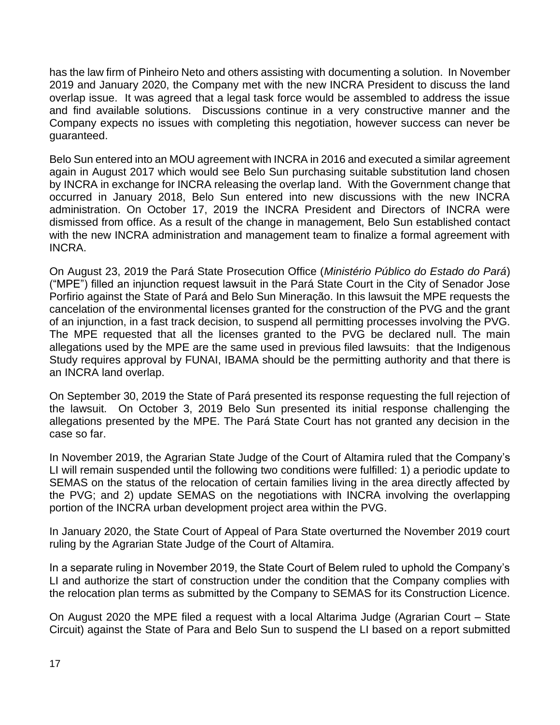has the law firm of Pinheiro Neto and others assisting with documenting a solution. In November 2019 and January 2020, the Company met with the new INCRA President to discuss the land overlap issue. It was agreed that a legal task force would be assembled to address the issue and find available solutions. Discussions continue in a very constructive manner and the Company expects no issues with completing this negotiation, however success can never be guaranteed.

Belo Sun entered into an MOU agreement with INCRA in 2016 and executed a similar agreement again in August 2017 which would see Belo Sun purchasing suitable substitution land chosen by INCRA in exchange for INCRA releasing the overlap land. With the Government change that occurred in January 2018, Belo Sun entered into new discussions with the new INCRA administration. On October 17, 2019 the INCRA President and Directors of INCRA were dismissed from office. As a result of the change in management, Belo Sun established contact with the new INCRA administration and management team to finalize a formal agreement with INCRA.

On August 23, 2019 the Pará State Prosecution Office (*Ministério Público do Estado do Pará*) ("MPE") filled an injunction request lawsuit in the Pará State Court in the City of Senador Jose Porfirio against the State of Pará and Belo Sun Mineração. In this lawsuit the MPE requests the cancelation of the environmental licenses granted for the construction of the PVG and the grant of an injunction, in a fast track decision, to suspend all permitting processes involving the PVG. The MPE requested that all the licenses granted to the PVG be declared null. The main allegations used by the MPE are the same used in previous filed lawsuits: that the Indigenous Study requires approval by FUNAI, IBAMA should be the permitting authority and that there is an INCRA land overlap.

On September 30, 2019 the State of Pará presented its response requesting the full rejection of the lawsuit. On October 3, 2019 Belo Sun presented its initial response challenging the allegations presented by the MPE. The Pará State Court has not granted any decision in the case so far.

In November 2019, the Agrarian State Judge of the Court of Altamira ruled that the Company's LI will remain suspended until the following two conditions were fulfilled: 1) a periodic update to SEMAS on the status of the relocation of certain families living in the area directly affected by the PVG; and 2) update SEMAS on the negotiations with INCRA involving the overlapping portion of the INCRA urban development project area within the PVG.

In January 2020, the State Court of Appeal of Para State overturned the November 2019 court ruling by the Agrarian State Judge of the Court of Altamira.

In a separate ruling in November 2019, the State Court of Belem ruled to uphold the Company's LI and authorize the start of construction under the condition that the Company complies with the relocation plan terms as submitted by the Company to SEMAS for its Construction Licence.

On August 2020 the MPE filed a request with a local Altarima Judge (Agrarian Court – State Circuit) against the State of Para and Belo Sun to suspend the LI based on a report submitted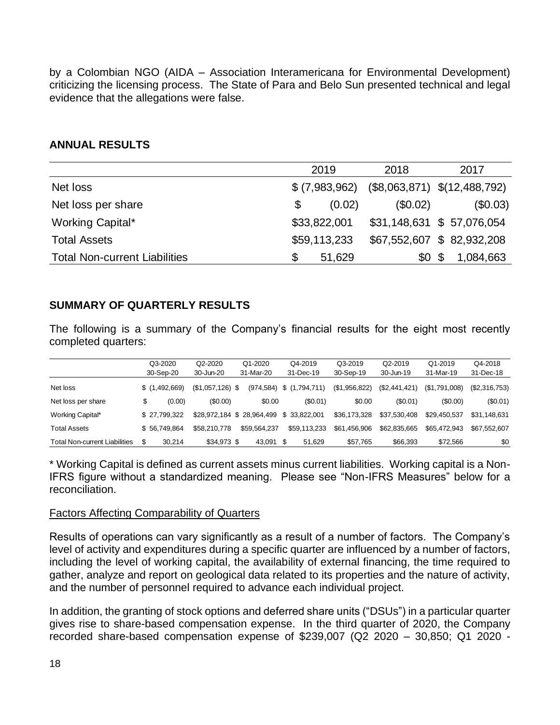by a Colombian NGO (AIDA – Association Interamericana for Environmental Development) criticizing the licensing process. The State of Para and Belo Sun presented technical and legal evidence that the allegations were false.

#### **ANNUAL RESULTS**

|                                      | 2019           | 2018     | 2017                           |
|--------------------------------------|----------------|----------|--------------------------------|
| Net loss                             | \$ (7,983,962) |          | $($8,063,871)$ $$(12,488,792)$ |
| Net loss per share                   | (0.02)<br>\$   | (\$0.02) | (\$0.03)                       |
| Working Capital*                     | \$33,822,001   |          | \$31,148,631 \$ 57,076,054     |
| <b>Total Assets</b>                  | \$59,113,233   |          | \$67,552,607 \$82,932,208      |
| <b>Total Non-current Liabilities</b> | 51,629         | \$0      | \$<br>1,084,663                |

#### **SUMMARY OF QUARTERLY RESULTS**

The following is a summary of the Company's financial results for the eight most recently completed quarters:

|                               | Q3-2020       | Q <sub>2</sub> -20 <sub>20</sub> | Q1-2020      |     | Q4-2019       | Q3-2019       | Q2-2019       | Q1-2019       | Q4-2018       |
|-------------------------------|---------------|----------------------------------|--------------|-----|---------------|---------------|---------------|---------------|---------------|
|                               | 30-Sep-20     | 30-Jun-20                        | 31-Mar-20    |     | 31-Dec-19     | 30-Sep-19     | 30-Jun-19     | 31-Mar-19     | 31-Dec-18     |
| Net loss                      | \$(1,492,669) | $($1,057,126)$ \$                | (974, 584)   |     | \$(1,794,711) | (\$1,956,822) | (\$2,441,421) | (\$1,791,008) | (\$2,316,753) |
| Net loss per share            | \$<br>(0.00)  | (\$0.00)                         | \$0.00       |     | (\$0.01)      | \$0.00        | (S0.01)       | (S0.00)       | $(\$0.01)$    |
| Working Capital*              | \$27.799.322  | \$28.972.184 \$28.964.499        |              |     | \$ 33,822,001 | \$36.173.328  | \$37.530.408  | \$29.450.537  | \$31.148.631  |
| Total Assets                  | \$56.749.864  | \$58,210,778                     | \$59,564,237 |     | \$59,113,233  | \$61.456.906  | \$62,835,665  | \$65,472,943  | \$67.552.607  |
| Total Non-current Liabilities | 30.214        | \$34.973 \$                      | 43,091       | \$. | 51.629        | \$57,765      | \$66,393      | \$72,566      | \$0           |

\* Working Capital is defined as current assets minus current liabilities. Working capital is a Non-IFRS figure without a standardized meaning. Please see "Non-IFRS Measures" below for a reconciliation.

#### Factors Affecting Comparability of Quarters

Results of operations can vary significantly as a result of a number of factors. The Company's level of activity and expenditures during a specific quarter are influenced by a number of factors, including the level of working capital, the availability of external financing, the time required to gather, analyze and report on geological data related to its properties and the nature of activity, and the number of personnel required to advance each individual project.

In addition, the granting of stock options and deferred share units ("DSUs") in a particular quarter gives rise to share-based compensation expense. In the third quarter of 2020, the Company recorded share-based compensation expense of \$239,007 (Q2 2020 – 30,850; Q1 2020 -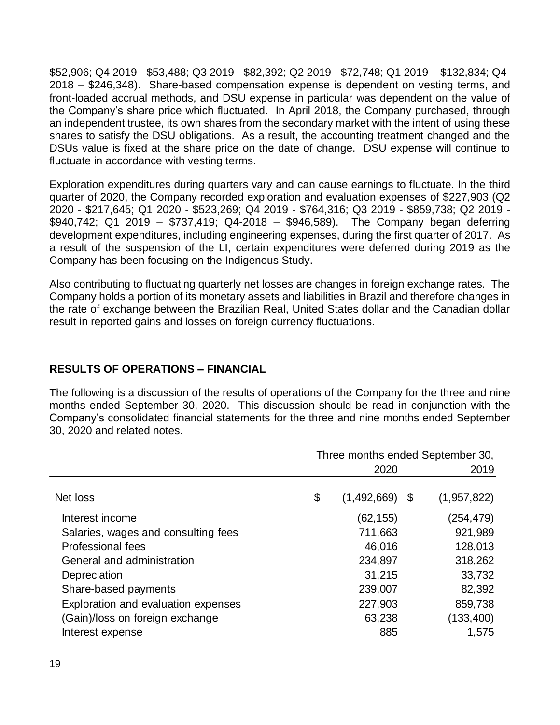\$52,906; Q4 2019 - \$53,488; Q3 2019 - \$82,392; Q2 2019 - \$72,748; Q1 2019 – \$132,834; Q4- 2018 – \$246,348). Share-based compensation expense is dependent on vesting terms, and front-loaded accrual methods, and DSU expense in particular was dependent on the value of the Company's share price which fluctuated. In April 2018, the Company purchased, through an independent trustee, its own shares from the secondary market with the intent of using these shares to satisfy the DSU obligations. As a result, the accounting treatment changed and the DSUs value is fixed at the share price on the date of change. DSU expense will continue to fluctuate in accordance with vesting terms.

Exploration expenditures during quarters vary and can cause earnings to fluctuate. In the third quarter of 2020, the Company recorded exploration and evaluation expenses of \$227,903 (Q2 2020 - \$217,645; Q1 2020 - \$523,269; Q4 2019 - \$764,316; Q3 2019 - \$859,738; Q2 2019 - \$940,742; Q1 2019 – \$737,419; Q4-2018 – \$946,589). The Company began deferring development expenditures, including engineering expenses, during the first quarter of 2017. As a result of the suspension of the LI, certain expenditures were deferred during 2019 as the Company has been focusing on the Indigenous Study.

Also contributing to fluctuating quarterly net losses are changes in foreign exchange rates. The Company holds a portion of its monetary assets and liabilities in Brazil and therefore changes in the rate of exchange between the Brazilian Real, United States dollar and the Canadian dollar result in reported gains and losses on foreign currency fluctuations.

### **RESULTS OF OPERATIONS – FINANCIAL**

The following is a discussion of the results of operations of the Company for the three and nine months ended September 30, 2020. This discussion should be read in conjunction with the Company's consolidated financial statements for the three and nine months ended September 30, 2020 and related notes.

|                                     | Three months ended September 30, |             |     |             |  |  |
|-------------------------------------|----------------------------------|-------------|-----|-------------|--|--|
|                                     |                                  | 2020        |     | 2019        |  |  |
|                                     |                                  |             |     |             |  |  |
| Net loss                            | \$                               | (1,492,669) | -\$ | (1,957,822) |  |  |
| Interest income                     |                                  | (62, 155)   |     | (254,479)   |  |  |
| Salaries, wages and consulting fees |                                  | 711,663     |     | 921,989     |  |  |
| Professional fees                   |                                  | 46,016      |     | 128,013     |  |  |
| General and administration          |                                  | 234,897     |     | 318,262     |  |  |
| Depreciation                        |                                  | 31,215      |     | 33,732      |  |  |
| Share-based payments                |                                  | 239,007     |     | 82,392      |  |  |
| Exploration and evaluation expenses |                                  | 227,903     |     | 859,738     |  |  |
| (Gain)/loss on foreign exchange     |                                  | 63,238      |     | (133, 400)  |  |  |
| Interest expense                    |                                  | 885         |     | 1,575       |  |  |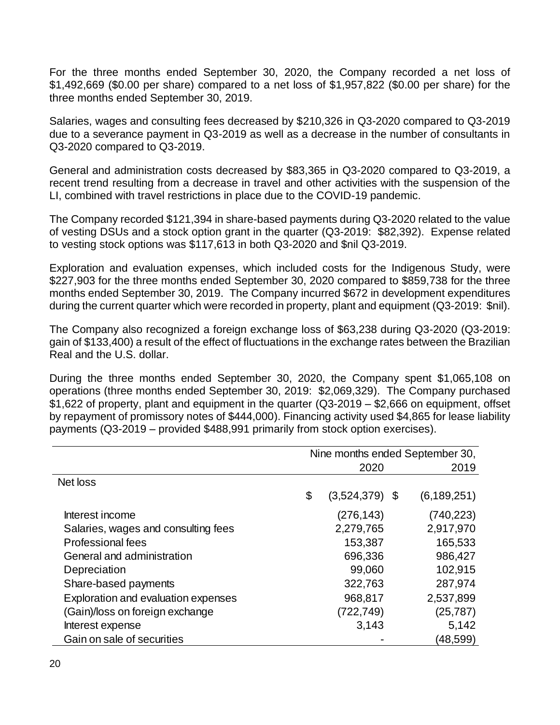For the three months ended September 30, 2020, the Company recorded a net loss of \$1,492,669 (\$0.00 per share) compared to a net loss of \$1,957,822 (\$0.00 per share) for the three months ended September 30, 2019.

Salaries, wages and consulting fees decreased by \$210,326 in Q3-2020 compared to Q3-2019 due to a severance payment in Q3-2019 as well as a decrease in the number of consultants in Q3-2020 compared to Q3-2019.

General and administration costs decreased by \$83,365 in Q3-2020 compared to Q3-2019, a recent trend resulting from a decrease in travel and other activities with the suspension of the LI, combined with travel restrictions in place due to the COVID-19 pandemic.

The Company recorded \$121,394 in share-based payments during Q3-2020 related to the value of vesting DSUs and a stock option grant in the quarter (Q3-2019: \$82,392). Expense related to vesting stock options was \$117,613 in both Q3-2020 and \$nil Q3-2019.

Exploration and evaluation expenses, which included costs for the Indigenous Study, were \$227,903 for the three months ended September 30, 2020 compared to \$859,738 for the three months ended September 30, 2019. The Company incurred \$672 in development expenditures during the current quarter which were recorded in property, plant and equipment (Q3-2019: \$nil).

The Company also recognized a foreign exchange loss of \$63,238 during Q3-2020 (Q3-2019: gain of \$133,400) a result of the effect of fluctuations in the exchange rates between the Brazilian Real and the U.S. dollar.

During the three months ended September 30, 2020, the Company spent \$1,065,108 on operations (three months ended September 30, 2019: \$2,069,329). The Company purchased \$1,622 of property, plant and equipment in the quarter (Q3-2019 – \$2,666 on equipment, offset by repayment of promissory notes of \$444,000). Financing activity used \$4,865 for lease liability payments (Q3-2019 – provided \$488,991 primarily from stock option exercises).

|                                     | Nine months ended September 30, |                  |  |               |  |
|-------------------------------------|---------------------------------|------------------|--|---------------|--|
|                                     |                                 | 2020             |  | 2019          |  |
| Net loss                            |                                 |                  |  |               |  |
|                                     | \$                              | $(3,524,379)$ \$ |  | (6, 189, 251) |  |
| Interest income                     |                                 | (276,143)        |  | (740, 223)    |  |
| Salaries, wages and consulting fees |                                 | 2,279,765        |  | 2,917,970     |  |
| <b>Professional fees</b>            |                                 | 153,387          |  | 165,533       |  |
| General and administration          |                                 | 696,336          |  | 986,427       |  |
| Depreciation                        |                                 | 99,060           |  | 102,915       |  |
| Share-based payments                |                                 | 322,763          |  | 287,974       |  |
| Exploration and evaluation expenses |                                 | 968,817          |  | 2,537,899     |  |
| (Gain)/loss on foreign exchange     |                                 | (722,749)        |  | (25, 787)     |  |
| Interest expense                    |                                 | 3.143            |  | 5,142         |  |
| Gain on sale of securities          |                                 |                  |  | (48,599)      |  |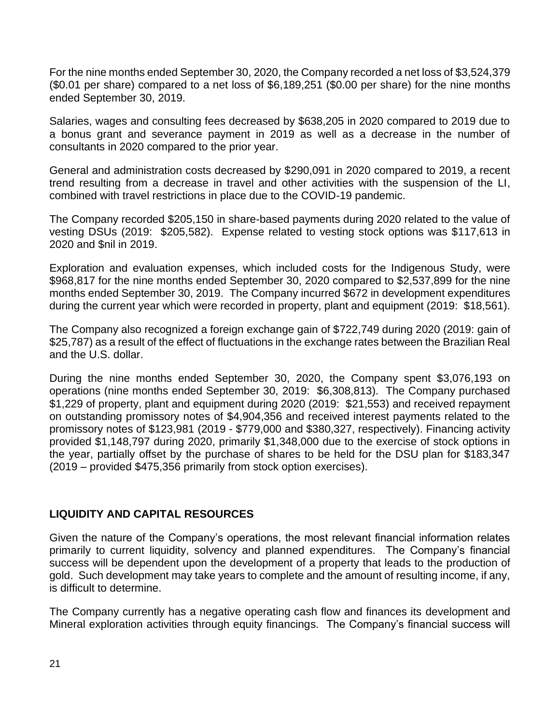For the nine months ended September 30, 2020, the Company recorded a net loss of \$3,524,379 (\$0.01 per share) compared to a net loss of \$6,189,251 (\$0.00 per share) for the nine months ended September 30, 2019.

Salaries, wages and consulting fees decreased by \$638,205 in 2020 compared to 2019 due to a bonus grant and severance payment in 2019 as well as a decrease in the number of consultants in 2020 compared to the prior year.

General and administration costs decreased by \$290,091 in 2020 compared to 2019, a recent trend resulting from a decrease in travel and other activities with the suspension of the LI, combined with travel restrictions in place due to the COVID-19 pandemic.

The Company recorded \$205,150 in share-based payments during 2020 related to the value of vesting DSUs (2019: \$205,582). Expense related to vesting stock options was \$117,613 in 2020 and \$nil in 2019.

Exploration and evaluation expenses, which included costs for the Indigenous Study, were \$968,817 for the nine months ended September 30, 2020 compared to \$2,537,899 for the nine months ended September 30, 2019. The Company incurred \$672 in development expenditures during the current year which were recorded in property, plant and equipment (2019: \$18,561).

The Company also recognized a foreign exchange gain of \$722,749 during 2020 (2019: gain of \$25,787) as a result of the effect of fluctuations in the exchange rates between the Brazilian Real and the U.S. dollar.

During the nine months ended September 30, 2020, the Company spent \$3,076,193 on operations (nine months ended September 30, 2019: \$6,308,813). The Company purchased \$1,229 of property, plant and equipment during 2020 (2019: \$21,553) and received repayment on outstanding promissory notes of \$4,904,356 and received interest payments related to the promissory notes of \$123,981 (2019 - \$779,000 and \$380,327, respectively). Financing activity provided \$1,148,797 during 2020, primarily \$1,348,000 due to the exercise of stock options in the year, partially offset by the purchase of shares to be held for the DSU plan for \$183,347 (2019 – provided \$475,356 primarily from stock option exercises).

## **LIQUIDITY AND CAPITAL RESOURCES**

Given the nature of the Company's operations, the most relevant financial information relates primarily to current liquidity, solvency and planned expenditures. The Company's financial success will be dependent upon the development of a property that leads to the production of gold. Such development may take years to complete and the amount of resulting income, if any, is difficult to determine.

The Company currently has a negative operating cash flow and finances its development and Mineral exploration activities through equity financings. The Company's financial success will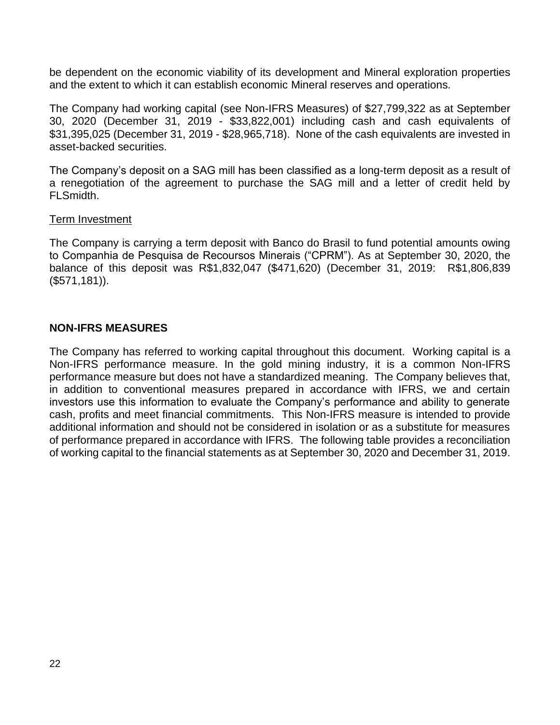be dependent on the economic viability of its development and Mineral exploration properties and the extent to which it can establish economic Mineral reserves and operations.

The Company had working capital (see Non-IFRS Measures) of \$27,799,322 as at September 30, 2020 (December 31, 2019 - \$33,822,001) including cash and cash equivalents of \$31,395,025 (December 31, 2019 - \$28,965,718). None of the cash equivalents are invested in asset-backed securities.

The Company's deposit on a SAG mill has been classified as a long-term deposit as a result of a renegotiation of the agreement to purchase the SAG mill and a letter of credit held by FLSmidth.

#### Term Investment

The Company is carrying a term deposit with Banco do Brasil to fund potential amounts owing to Companhia de Pesquisa de Recoursos Minerais ("CPRM"). As at September 30, 2020, the balance of this deposit was R\$1,832,047 (\$471,620) (December 31, 2019: R\$1,806,839 (\$571,181)).

#### **NON-IFRS MEASURES**

The Company has referred to working capital throughout this document. Working capital is a Non-IFRS performance measure. In the gold mining industry, it is a common Non-IFRS performance measure but does not have a standardized meaning. The Company believes that, in addition to conventional measures prepared in accordance with IFRS, we and certain investors use this information to evaluate the Company's performance and ability to generate cash, profits and meet financial commitments. This Non-IFRS measure is intended to provide additional information and should not be considered in isolation or as a substitute for measures of performance prepared in accordance with IFRS. The following table provides a reconciliation of working capital to the financial statements as at September 30, 2020 and December 31, 2019.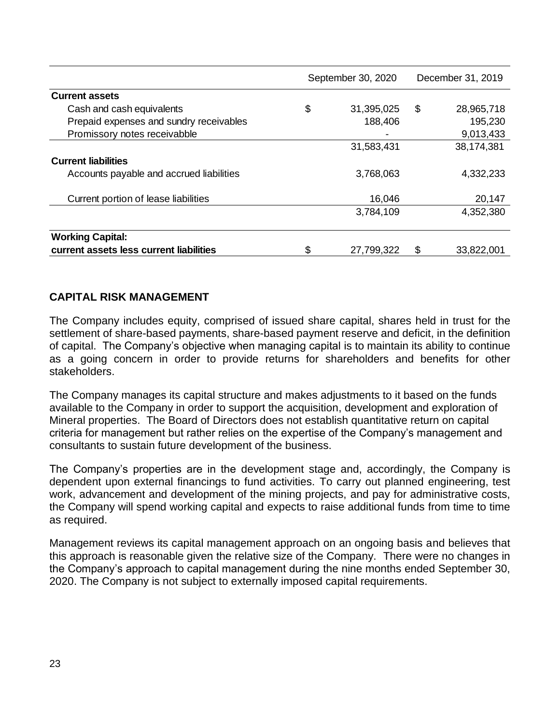|                                          | September 30, 2020 |     | December 31, 2019 |
|------------------------------------------|--------------------|-----|-------------------|
| <b>Current assets</b>                    |                    |     |                   |
| Cash and cash equivalents                | \$<br>31,395,025   | \$  | 28,965,718        |
| Prepaid expenses and sundry receivables  | 188,406            |     | 195,230           |
| Promissory notes receivabble             |                    |     | 9,013,433         |
|                                          | 31,583,431         |     | 38,174,381        |
| <b>Current liabilities</b>               |                    |     |                   |
| Accounts payable and accrued liabilities | 3,768,063          |     | 4,332,233         |
| Current portion of lease liabilities     | 16,046             |     | 20,147            |
|                                          | 3,784,109          |     | 4,352,380         |
| <b>Working Capital:</b>                  |                    |     |                   |
| current assets less current liabilities  | \$<br>27,799,322   | \$. | 33,822,001        |

#### **CAPITAL RISK MANAGEMENT**

The Company includes equity, comprised of issued share capital, shares held in trust for the settlement of share-based payments, share-based payment reserve and deficit, in the definition of capital. The Company's objective when managing capital is to maintain its ability to continue as a going concern in order to provide returns for shareholders and benefits for other stakeholders.

The Company manages its capital structure and makes adjustments to it based on the funds available to the Company in order to support the acquisition, development and exploration of Mineral properties. The Board of Directors does not establish quantitative return on capital criteria for management but rather relies on the expertise of the Company's management and consultants to sustain future development of the business.

The Company's properties are in the development stage and, accordingly, the Company is dependent upon external financings to fund activities. To carry out planned engineering, test work, advancement and development of the mining projects, and pay for administrative costs, the Company will spend working capital and expects to raise additional funds from time to time as required.

Management reviews its capital management approach on an ongoing basis and believes that this approach is reasonable given the relative size of the Company. There were no changes in the Company's approach to capital management during the nine months ended September 30, 2020. The Company is not subject to externally imposed capital requirements.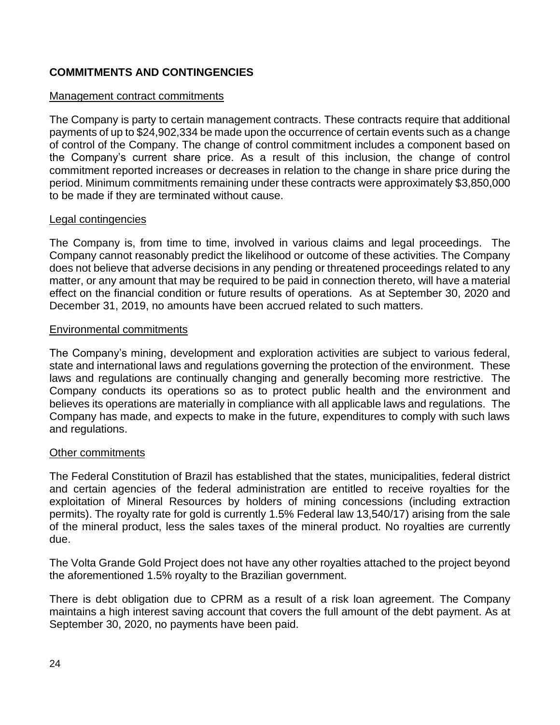# **COMMITMENTS AND CONTINGENCIES**

#### Management contract commitments

The Company is party to certain management contracts. These contracts require that additional payments of up to \$24,902,334 be made upon the occurrence of certain events such as a change of control of the Company. The change of control commitment includes a component based on the Company's current share price. As a result of this inclusion, the change of control commitment reported increases or decreases in relation to the change in share price during the period. Minimum commitments remaining under these contracts were approximately \$3,850,000 to be made if they are terminated without cause.

#### Legal contingencies

The Company is, from time to time, involved in various claims and legal proceedings. The Company cannot reasonably predict the likelihood or outcome of these activities. The Company does not believe that adverse decisions in any pending or threatened proceedings related to any matter, or any amount that may be required to be paid in connection thereto, will have a material effect on the financial condition or future results of operations. As at September 30, 2020 and December 31, 2019, no amounts have been accrued related to such matters.

#### Environmental commitments

The Company's mining, development and exploration activities are subject to various federal, state and international laws and regulations governing the protection of the environment. These laws and regulations are continually changing and generally becoming more restrictive. The Company conducts its operations so as to protect public health and the environment and believes its operations are materially in compliance with all applicable laws and regulations. The Company has made, and expects to make in the future, expenditures to comply with such laws and regulations.

#### Other commitments

The Federal Constitution of Brazil has established that the states, municipalities, federal district and certain agencies of the federal administration are entitled to receive royalties for the exploitation of Mineral Resources by holders of mining concessions (including extraction permits). The royalty rate for gold is currently 1.5% Federal law 13,540/17) arising from the sale of the mineral product, less the sales taxes of the mineral product. No royalties are currently due.

The Volta Grande Gold Project does not have any other royalties attached to the project beyond the aforementioned 1.5% royalty to the Brazilian government.

There is debt obligation due to CPRM as a result of a risk loan agreement. The Company maintains a high interest saving account that covers the full amount of the debt payment. As at September 30, 2020, no payments have been paid.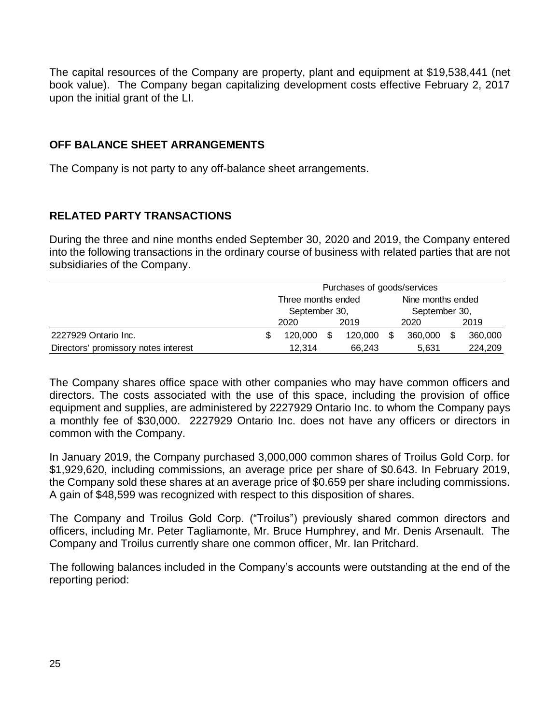The capital resources of the Company are property, plant and equipment at \$19,538,441 (net book value). The Company began capitalizing development costs effective February 2, 2017 upon the initial grant of the LI.

#### **OFF BALANCE SHEET ARRANGEMENTS**

The Company is not party to any off-balance sheet arrangements.

#### **RELATED PARTY TRANSACTIONS**

During the three and nine months ended September 30, 2020 and 2019, the Company entered into the following transactions in the ordinary course of business with related parties that are not subsidiaries of the Company.

|                                      |              | Purchases of goods/services |     |         |      |                   |  |         |  |
|--------------------------------------|--------------|-----------------------------|-----|---------|------|-------------------|--|---------|--|
|                                      |              | Three months ended          |     |         |      | Nine months ended |  |         |  |
|                                      |              | September 30,               |     |         |      | September 30,     |  |         |  |
|                                      | 2019<br>2020 |                             |     |         | 2020 | 2019              |  |         |  |
| 2227929 Ontario Inc.                 | S            | 120.000                     | \$. | 120.000 |      | 360,000           |  | 360,000 |  |
| Directors' promissory notes interest |              | 12.314                      |     | 66,243  |      | 5,631             |  | 224,209 |  |

The Company shares office space with other companies who may have common officers and directors. The costs associated with the use of this space, including the provision of office equipment and supplies, are administered by 2227929 Ontario Inc. to whom the Company pays a monthly fee of \$30,000. 2227929 Ontario Inc. does not have any officers or directors in common with the Company.

In January 2019, the Company purchased 3,000,000 common shares of Troilus Gold Corp. for \$1,929,620, including commissions, an average price per share of \$0.643. In February 2019, the Company sold these shares at an average price of \$0.659 per share including commissions. A gain of \$48,599 was recognized with respect to this disposition of shares.

The Company and Troilus Gold Corp. ("Troilus") previously shared common directors and officers, including Mr. Peter Tagliamonte, Mr. Bruce Humphrey, and Mr. Denis Arsenault. The Company and Troilus currently share one common officer, Mr. Ian Pritchard.

The following balances included in the Company's accounts were outstanding at the end of the reporting period: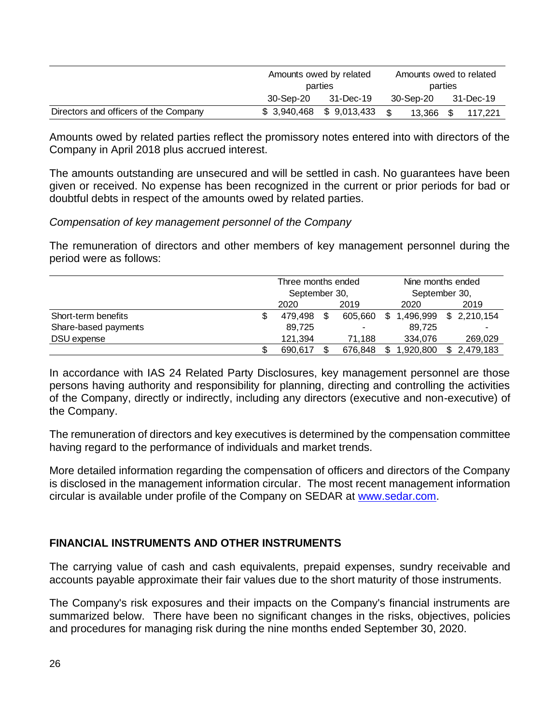|                                       | Amounts owed by related<br>parties |                           |      | Amounts owed to related |  |           |  |  |
|---------------------------------------|------------------------------------|---------------------------|------|-------------------------|--|-----------|--|--|
|                                       |                                    |                           |      | parties                 |  |           |  |  |
|                                       | 30-Sep-20                          | 31-Dec-19                 |      | 30-Sep-20               |  | 31-Dec-19 |  |  |
| Directors and officers of the Company |                                    | $$3,940,468$ $$9,013,433$ | . \$ | 13,366 \$               |  | 117.221   |  |  |

Amounts owed by related parties reflect the promissory notes entered into with directors of the Company in April 2018 plus accrued interest.

The amounts outstanding are unsecured and will be settled in cash. No guarantees have been given or received. No expense has been recognized in the current or prior periods for bad or doubtful debts in respect of the amounts owed by related parties.

#### *Compensation of key management personnel of the Company*

The remuneration of directors and other members of key management personnel during the period were as follows:

|                      |  | Three months ended<br>September 30, |    |         | Nine months ended |           |  |              |
|----------------------|--|-------------------------------------|----|---------|-------------------|-----------|--|--------------|
|                      |  |                                     |    |         | September 30,     |           |  |              |
|                      |  | 2020                                |    | 2019    |                   | 2020      |  | 2019         |
| Short-term benefits  |  | 479.498                             | S. | 605.660 | \$                | 1.496.999 |  | \$ 2.210.154 |
| Share-based payments |  | 89.725                              |    | -       |                   | 89.725    |  |              |
| DSU expense          |  | 121.394                             |    | 71.188  |                   | 334.076   |  | 269,029      |
|                      |  | 690.617                             |    | 676,848 | S                 | 1,920,800 |  | \$2,479,183  |

In accordance with IAS 24 Related Party Disclosures, key management personnel are those persons having authority and responsibility for planning, directing and controlling the activities of the Company, directly or indirectly, including any directors (executive and non-executive) of the Company.

The remuneration of directors and key executives is determined by the compensation committee having regard to the performance of individuals and market trends.

More detailed information regarding the compensation of officers and directors of the Company is disclosed in the management information circular. The most recent management information circular is available under profile of the Company on SEDAR at [www.sedar.com.](http://www.sedar.com/)

#### **FINANCIAL INSTRUMENTS AND OTHER INSTRUMENTS**

The carrying value of cash and cash equivalents, prepaid expenses, sundry receivable and accounts payable approximate their fair values due to the short maturity of those instruments.

The Company's risk exposures and their impacts on the Company's financial instruments are summarized below. There have been no significant changes in the risks, objectives, policies and procedures for managing risk during the nine months ended September 30, 2020.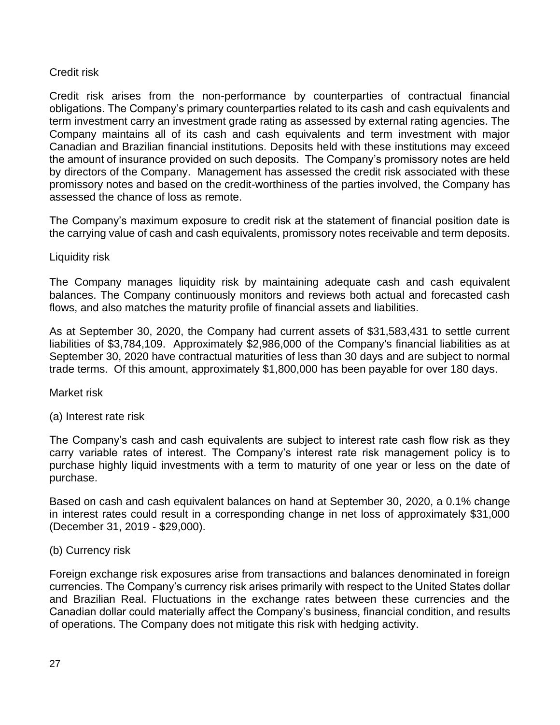#### Credit risk

Credit risk arises from the non-performance by counterparties of contractual financial obligations. The Company's primary counterparties related to its cash and cash equivalents and term investment carry an investment grade rating as assessed by external rating agencies. The Company maintains all of its cash and cash equivalents and term investment with major Canadian and Brazilian financial institutions. Deposits held with these institutions may exceed the amount of insurance provided on such deposits. The Company's promissory notes are held by directors of the Company. Management has assessed the credit risk associated with these promissory notes and based on the credit-worthiness of the parties involved, the Company has assessed the chance of loss as remote.

The Company's maximum exposure to credit risk at the statement of financial position date is the carrying value of cash and cash equivalents, promissory notes receivable and term deposits.

#### Liquidity risk

The Company manages liquidity risk by maintaining adequate cash and cash equivalent balances. The Company continuously monitors and reviews both actual and forecasted cash flows, and also matches the maturity profile of financial assets and liabilities.

As at September 30, 2020, the Company had current assets of \$31,583,431 to settle current liabilities of \$3,784,109. Approximately \$2,986,000 of the Company's financial liabilities as at September 30, 2020 have contractual maturities of less than 30 days and are subject to normal trade terms. Of this amount, approximately \$1,800,000 has been payable for over 180 days.

Market risk

(a) Interest rate risk

The Company's cash and cash equivalents are subject to interest rate cash flow risk as they carry variable rates of interest. The Company's interest rate risk management policy is to purchase highly liquid investments with a term to maturity of one year or less on the date of purchase.

Based on cash and cash equivalent balances on hand at September 30, 2020, a 0.1% change in interest rates could result in a corresponding change in net loss of approximately \$31,000 (December 31, 2019 - \$29,000).

#### (b) Currency risk

Foreign exchange risk exposures arise from transactions and balances denominated in foreign currencies. The Company's currency risk arises primarily with respect to the United States dollar and Brazilian Real. Fluctuations in the exchange rates between these currencies and the Canadian dollar could materially affect the Company's business, financial condition, and results of operations. The Company does not mitigate this risk with hedging activity.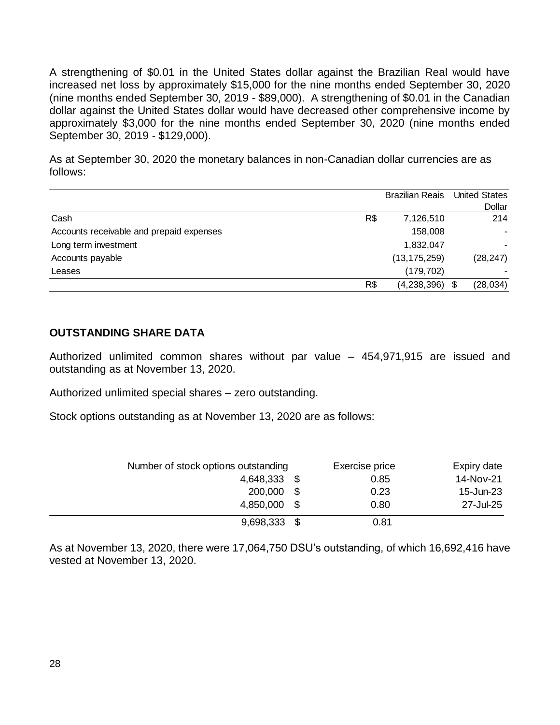A strengthening of \$0.01 in the United States dollar against the Brazilian Real would have increased net loss by approximately \$15,000 for the nine months ended September 30, 2020 (nine months ended September 30, 2019 - \$89,000). A strengthening of \$0.01 in the Canadian dollar against the United States dollar would have decreased other comprehensive income by approximately \$3,000 for the nine months ended September 30, 2020 (nine months ended September 30, 2019 - \$129,000).

As at September 30, 2020 the monetary balances in non-Canadian dollar currencies are as follows:

|                                          |     | <b>Brazilian Reais</b> | <b>United States</b> |
|------------------------------------------|-----|------------------------|----------------------|
|                                          |     |                        | Dollar               |
| Cash                                     | R\$ | 7,126,510              | 214                  |
| Accounts receivable and prepaid expenses |     | 158,008                |                      |
| Long term investment                     |     | 1,832,047              |                      |
| Accounts payable                         |     | (13, 175, 259)         | (28, 247)            |
| Leases                                   |     | (179, 702)             |                      |
|                                          | R\$ | $(4,238,396)$ \$       | (28, 034)            |

#### **OUTSTANDING SHARE DATA**

Authorized unlimited common shares without par value – 454,971,915 are issued and outstanding as at November 13, 2020.

Authorized unlimited special shares – zero outstanding.

Stock options outstanding as at November 13, 2020 are as follows:

| Number of stock options outstanding | Exercise price | Expiry date |
|-------------------------------------|----------------|-------------|
| 4,648,333                           | 0.85           | 14-Nov-21   |
| 200,000                             | 0.23           | 15-Jun-23   |
| 4,850,000                           | 0.80           | 27-Jul-25   |
| 9,698,333                           | 0.81           |             |

As at November 13, 2020, there were 17,064,750 DSU's outstanding, of which 16,692,416 have vested at November 13, 2020.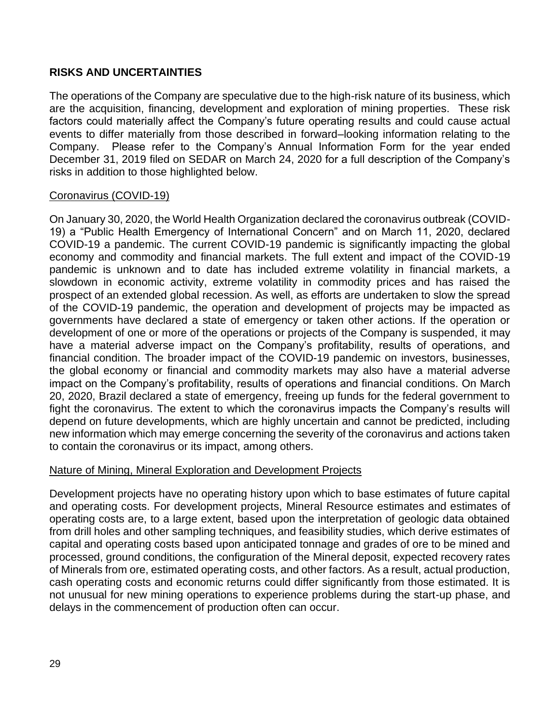### **RISKS AND UNCERTAINTIES**

The operations of the Company are speculative due to the high-risk nature of its business, which are the acquisition, financing, development and exploration of mining properties. These risk factors could materially affect the Company's future operating results and could cause actual events to differ materially from those described in forward–looking information relating to the Company. Please refer to the Company's Annual Information Form for the year ended December 31, 2019 filed on SEDAR on March 24, 2020 for a full description of the Company's risks in addition to those highlighted below.

#### Coronavirus (COVID-19)

On January 30, 2020, the World Health Organization declared the coronavirus outbreak (COVID-19) a "Public Health Emergency of International Concern" and on March 11, 2020, declared COVID-19 a pandemic. The current COVID-19 pandemic is significantly impacting the global economy and commodity and financial markets. The full extent and impact of the COVID-19 pandemic is unknown and to date has included extreme volatility in financial markets, a slowdown in economic activity, extreme volatility in commodity prices and has raised the prospect of an extended global recession. As well, as efforts are undertaken to slow the spread of the COVID-19 pandemic, the operation and development of projects may be impacted as governments have declared a state of emergency or taken other actions. If the operation or development of one or more of the operations or projects of the Company is suspended, it may have a material adverse impact on the Company's profitability, results of operations, and financial condition. The broader impact of the COVID-19 pandemic on investors, businesses, the global economy or financial and commodity markets may also have a material adverse impact on the Company's profitability, results of operations and financial conditions. On March 20, 2020, Brazil declared a state of emergency, freeing up funds for the federal government to fight the coronavirus. The extent to which the coronavirus impacts the Company's results will depend on future developments, which are highly uncertain and cannot be predicted, including new information which may emerge concerning the severity of the coronavirus and actions taken to contain the coronavirus or its impact, among others.

#### Nature of Mining, Mineral Exploration and Development Projects

Development projects have no operating history upon which to base estimates of future capital and operating costs. For development projects, Mineral Resource estimates and estimates of operating costs are, to a large extent, based upon the interpretation of geologic data obtained from drill holes and other sampling techniques, and feasibility studies, which derive estimates of capital and operating costs based upon anticipated tonnage and grades of ore to be mined and processed, ground conditions, the configuration of the Mineral deposit, expected recovery rates of Minerals from ore, estimated operating costs, and other factors. As a result, actual production, cash operating costs and economic returns could differ significantly from those estimated. It is not unusual for new mining operations to experience problems during the start-up phase, and delays in the commencement of production often can occur.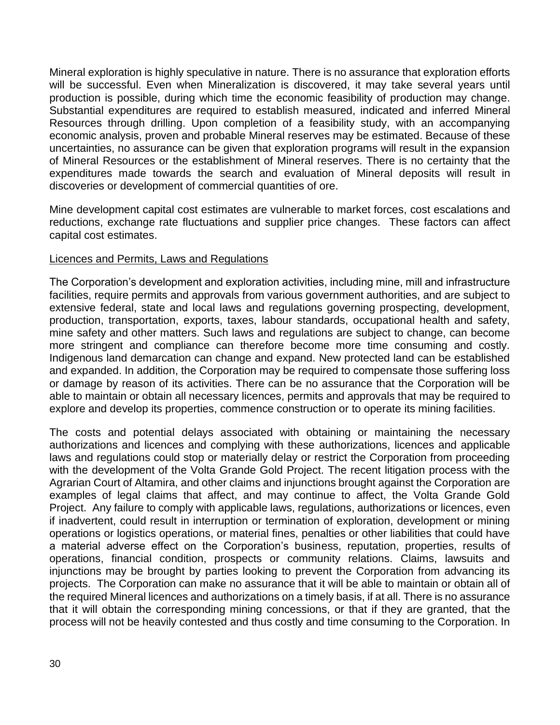Mineral exploration is highly speculative in nature. There is no assurance that exploration efforts will be successful. Even when Mineralization is discovered, it may take several years until production is possible, during which time the economic feasibility of production may change. Substantial expenditures are required to establish measured, indicated and inferred Mineral Resources through drilling. Upon completion of a feasibility study, with an accompanying economic analysis, proven and probable Mineral reserves may be estimated. Because of these uncertainties, no assurance can be given that exploration programs will result in the expansion of Mineral Resources or the establishment of Mineral reserves. There is no certainty that the expenditures made towards the search and evaluation of Mineral deposits will result in discoveries or development of commercial quantities of ore.

Mine development capital cost estimates are vulnerable to market forces, cost escalations and reductions, exchange rate fluctuations and supplier price changes. These factors can affect capital cost estimates.

#### Licences and Permits, Laws and Regulations

The Corporation's development and exploration activities, including mine, mill and infrastructure facilities, require permits and approvals from various government authorities, and are subject to extensive federal, state and local laws and regulations governing prospecting, development, production, transportation, exports, taxes, labour standards, occupational health and safety, mine safety and other matters. Such laws and regulations are subject to change, can become more stringent and compliance can therefore become more time consuming and costly. Indigenous land demarcation can change and expand. New protected land can be established and expanded. In addition, the Corporation may be required to compensate those suffering loss or damage by reason of its activities. There can be no assurance that the Corporation will be able to maintain or obtain all necessary licences, permits and approvals that may be required to explore and develop its properties, commence construction or to operate its mining facilities.

The costs and potential delays associated with obtaining or maintaining the necessary authorizations and licences and complying with these authorizations, licences and applicable laws and regulations could stop or materially delay or restrict the Corporation from proceeding with the development of the Volta Grande Gold Project. The recent litigation process with the Agrarian Court of Altamira, and other claims and injunctions brought against the Corporation are examples of legal claims that affect, and may continue to affect, the Volta Grande Gold Project. Any failure to comply with applicable laws, regulations, authorizations or licences, even if inadvertent, could result in interruption or termination of exploration, development or mining operations or logistics operations, or material fines, penalties or other liabilities that could have a material adverse effect on the Corporation's business, reputation, properties, results of operations, financial condition, prospects or community relations. Claims, lawsuits and injunctions may be brought by parties looking to prevent the Corporation from advancing its projects. The Corporation can make no assurance that it will be able to maintain or obtain all of the required Mineral licences and authorizations on a timely basis, if at all. There is no assurance that it will obtain the corresponding mining concessions, or that if they are granted, that the process will not be heavily contested and thus costly and time consuming to the Corporation. In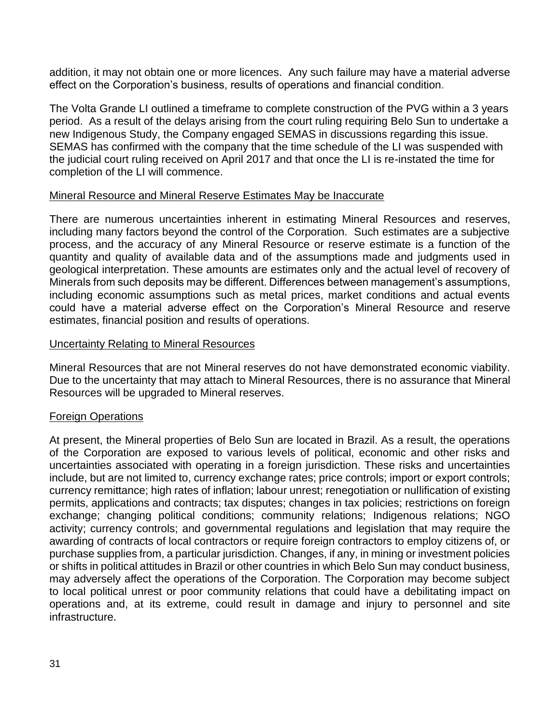addition, it may not obtain one or more licences. Any such failure may have a material adverse effect on the Corporation's business, results of operations and financial condition.

The Volta Grande LI outlined a timeframe to complete construction of the PVG within a 3 years period. As a result of the delays arising from the court ruling requiring Belo Sun to undertake a new Indigenous Study, the Company engaged SEMAS in discussions regarding this issue. SEMAS has confirmed with the company that the time schedule of the LI was suspended with the judicial court ruling received on April 2017 and that once the LI is re-instated the time for completion of the LI will commence.

#### Mineral Resource and Mineral Reserve Estimates May be Inaccurate

There are numerous uncertainties inherent in estimating Mineral Resources and reserves, including many factors beyond the control of the Corporation. Such estimates are a subjective process, and the accuracy of any Mineral Resource or reserve estimate is a function of the quantity and quality of available data and of the assumptions made and judgments used in geological interpretation. These amounts are estimates only and the actual level of recovery of Minerals from such deposits may be different. Differences between management's assumptions, including economic assumptions such as metal prices, market conditions and actual events could have a material adverse effect on the Corporation's Mineral Resource and reserve estimates, financial position and results of operations.

#### Uncertainty Relating to Mineral Resources

Mineral Resources that are not Mineral reserves do not have demonstrated economic viability. Due to the uncertainty that may attach to Mineral Resources, there is no assurance that Mineral Resources will be upgraded to Mineral reserves.

#### Foreign Operations

At present, the Mineral properties of Belo Sun are located in Brazil. As a result, the operations of the Corporation are exposed to various levels of political, economic and other risks and uncertainties associated with operating in a foreign jurisdiction. These risks and uncertainties include, but are not limited to, currency exchange rates; price controls; import or export controls; currency remittance; high rates of inflation; labour unrest; renegotiation or nullification of existing permits, applications and contracts; tax disputes; changes in tax policies; restrictions on foreign exchange; changing political conditions; community relations; Indigenous relations; NGO activity; currency controls; and governmental regulations and legislation that may require the awarding of contracts of local contractors or require foreign contractors to employ citizens of, or purchase supplies from, a particular jurisdiction. Changes, if any, in mining or investment policies or shifts in political attitudes in Brazil or other countries in which Belo Sun may conduct business, may adversely affect the operations of the Corporation. The Corporation may become subject to local political unrest or poor community relations that could have a debilitating impact on operations and, at its extreme, could result in damage and injury to personnel and site infrastructure.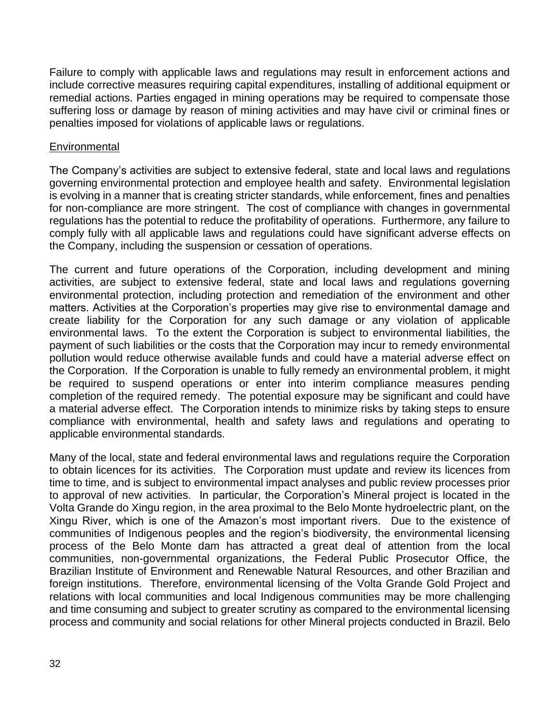Failure to comply with applicable laws and regulations may result in enforcement actions and include corrective measures requiring capital expenditures, installing of additional equipment or remedial actions. Parties engaged in mining operations may be required to compensate those suffering loss or damage by reason of mining activities and may have civil or criminal fines or penalties imposed for violations of applicable laws or regulations.

#### **Environmental**

The Company's activities are subject to extensive federal, state and local laws and regulations governing environmental protection and employee health and safety. Environmental legislation is evolving in a manner that is creating stricter standards, while enforcement, fines and penalties for non-compliance are more stringent. The cost of compliance with changes in governmental regulations has the potential to reduce the profitability of operations. Furthermore, any failure to comply fully with all applicable laws and regulations could have significant adverse effects on the Company, including the suspension or cessation of operations.

The current and future operations of the Corporation, including development and mining activities, are subject to extensive federal, state and local laws and regulations governing environmental protection, including protection and remediation of the environment and other matters. Activities at the Corporation's properties may give rise to environmental damage and create liability for the Corporation for any such damage or any violation of applicable environmental laws. To the extent the Corporation is subject to environmental liabilities, the payment of such liabilities or the costs that the Corporation may incur to remedy environmental pollution would reduce otherwise available funds and could have a material adverse effect on the Corporation. If the Corporation is unable to fully remedy an environmental problem, it might be required to suspend operations or enter into interim compliance measures pending completion of the required remedy. The potential exposure may be significant and could have a material adverse effect. The Corporation intends to minimize risks by taking steps to ensure compliance with environmental, health and safety laws and regulations and operating to applicable environmental standards.

Many of the local, state and federal environmental laws and regulations require the Corporation to obtain licences for its activities. The Corporation must update and review its licences from time to time, and is subject to environmental impact analyses and public review processes prior to approval of new activities. In particular, the Corporation's Mineral project is located in the Volta Grande do Xingu region, in the area proximal to the Belo Monte hydroelectric plant, on the Xingu River, which is one of the Amazon's most important rivers. Due to the existence of communities of Indigenous peoples and the region's biodiversity, the environmental licensing process of the Belo Monte dam has attracted a great deal of attention from the local communities, non-governmental organizations, the Federal Public Prosecutor Office, the Brazilian Institute of Environment and Renewable Natural Resources, and other Brazilian and foreign institutions. Therefore, environmental licensing of the Volta Grande Gold Project and relations with local communities and local Indigenous communities may be more challenging and time consuming and subject to greater scrutiny as compared to the environmental licensing process and community and social relations for other Mineral projects conducted in Brazil. Belo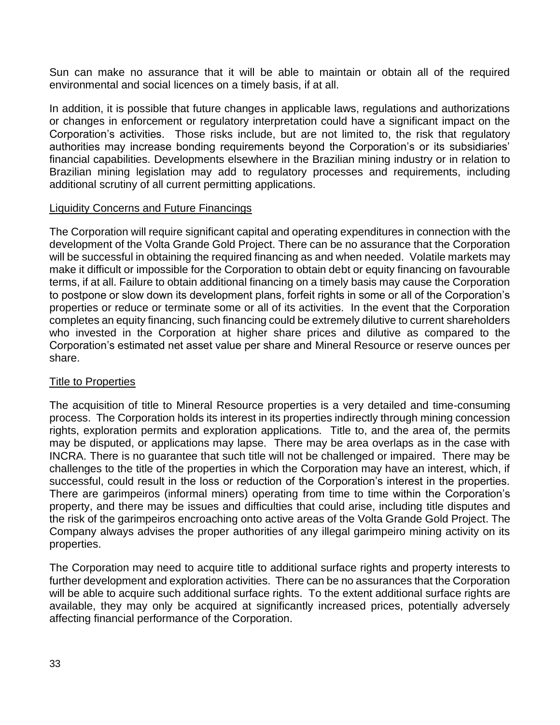Sun can make no assurance that it will be able to maintain or obtain all of the required environmental and social licences on a timely basis, if at all.

In addition, it is possible that future changes in applicable laws, regulations and authorizations or changes in enforcement or regulatory interpretation could have a significant impact on the Corporation's activities. Those risks include, but are not limited to, the risk that regulatory authorities may increase bonding requirements beyond the Corporation's or its subsidiaries' financial capabilities. Developments elsewhere in the Brazilian mining industry or in relation to Brazilian mining legislation may add to regulatory processes and requirements, including additional scrutiny of all current permitting applications.

#### Liquidity Concerns and Future Financings

The Corporation will require significant capital and operating expenditures in connection with the development of the Volta Grande Gold Project. There can be no assurance that the Corporation will be successful in obtaining the required financing as and when needed. Volatile markets may make it difficult or impossible for the Corporation to obtain debt or equity financing on favourable terms, if at all. Failure to obtain additional financing on a timely basis may cause the Corporation to postpone or slow down its development plans, forfeit rights in some or all of the Corporation's properties or reduce or terminate some or all of its activities. In the event that the Corporation completes an equity financing, such financing could be extremely dilutive to current shareholders who invested in the Corporation at higher share prices and dilutive as compared to the Corporation's estimated net asset value per share and Mineral Resource or reserve ounces per share.

#### **Title to Properties**

The acquisition of title to Mineral Resource properties is a very detailed and time-consuming process. The Corporation holds its interest in its properties indirectly through mining concession rights, exploration permits and exploration applications. Title to, and the area of, the permits may be disputed, or applications may lapse. There may be area overlaps as in the case with INCRA. There is no guarantee that such title will not be challenged or impaired. There may be challenges to the title of the properties in which the Corporation may have an interest, which, if successful, could result in the loss or reduction of the Corporation's interest in the properties. There are garimpeiros (informal miners) operating from time to time within the Corporation's property, and there may be issues and difficulties that could arise, including title disputes and the risk of the garimpeiros encroaching onto active areas of the Volta Grande Gold Project. The Company always advises the proper authorities of any illegal garimpeiro mining activity on its properties.

The Corporation may need to acquire title to additional surface rights and property interests to further development and exploration activities. There can be no assurances that the Corporation will be able to acquire such additional surface rights. To the extent additional surface rights are available, they may only be acquired at significantly increased prices, potentially adversely affecting financial performance of the Corporation.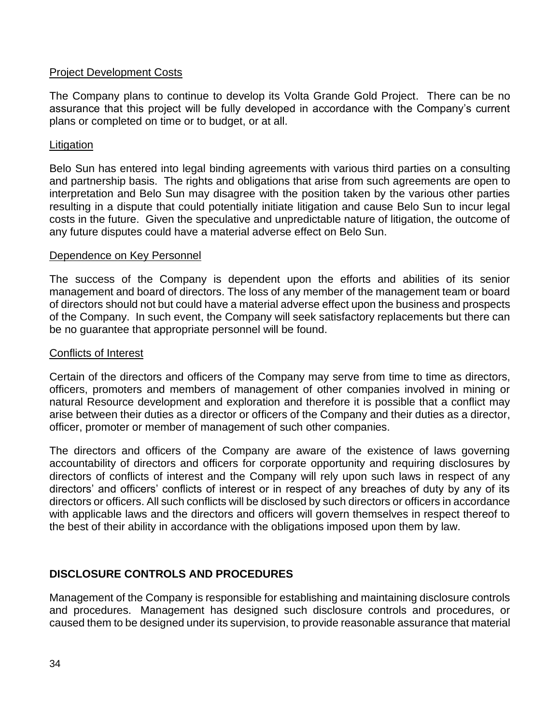#### Project Development Costs

The Company plans to continue to develop its Volta Grande Gold Project. There can be no assurance that this project will be fully developed in accordance with the Company's current plans or completed on time or to budget, or at all.

#### Litigation

Belo Sun has entered into legal binding agreements with various third parties on a consulting and partnership basis. The rights and obligations that arise from such agreements are open to interpretation and Belo Sun may disagree with the position taken by the various other parties resulting in a dispute that could potentially initiate litigation and cause Belo Sun to incur legal costs in the future. Given the speculative and unpredictable nature of litigation, the outcome of any future disputes could have a material adverse effect on Belo Sun.

#### Dependence on Key Personnel

The success of the Company is dependent upon the efforts and abilities of its senior management and board of directors. The loss of any member of the management team or board of directors should not but could have a material adverse effect upon the business and prospects of the Company. In such event, the Company will seek satisfactory replacements but there can be no guarantee that appropriate personnel will be found.

#### Conflicts of Interest

Certain of the directors and officers of the Company may serve from time to time as directors, officers, promoters and members of management of other companies involved in mining or natural Resource development and exploration and therefore it is possible that a conflict may arise between their duties as a director or officers of the Company and their duties as a director, officer, promoter or member of management of such other companies.

The directors and officers of the Company are aware of the existence of laws governing accountability of directors and officers for corporate opportunity and requiring disclosures by directors of conflicts of interest and the Company will rely upon such laws in respect of any directors' and officers' conflicts of interest or in respect of any breaches of duty by any of its directors or officers. All such conflicts will be disclosed by such directors or officers in accordance with applicable laws and the directors and officers will govern themselves in respect thereof to the best of their ability in accordance with the obligations imposed upon them by law.

# **DISCLOSURE CONTROLS AND PROCEDURES**

Management of the Company is responsible for establishing and maintaining disclosure controls and procedures. Management has designed such disclosure controls and procedures, or caused them to be designed under its supervision, to provide reasonable assurance that material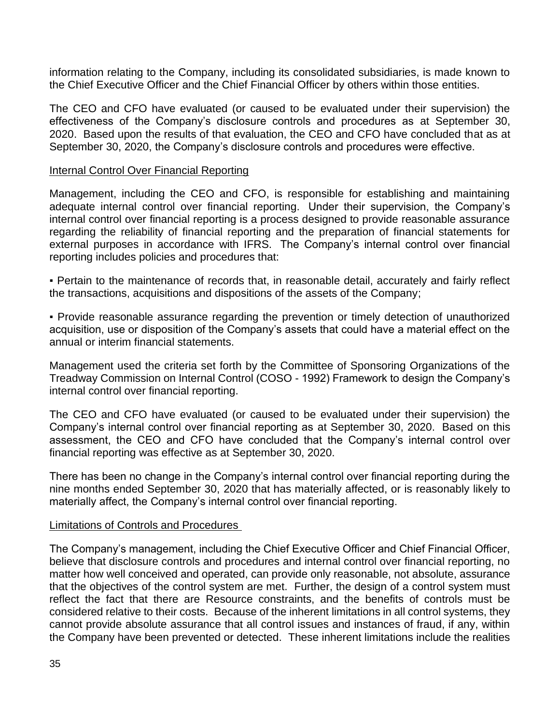information relating to the Company, including its consolidated subsidiaries, is made known to the Chief Executive Officer and the Chief Financial Officer by others within those entities.

The CEO and CFO have evaluated (or caused to be evaluated under their supervision) the effectiveness of the Company's disclosure controls and procedures as at September 30, 2020. Based upon the results of that evaluation, the CEO and CFO have concluded that as at September 30, 2020, the Company's disclosure controls and procedures were effective.

#### Internal Control Over Financial Reporting

Management, including the CEO and CFO, is responsible for establishing and maintaining adequate internal control over financial reporting. Under their supervision, the Company's internal control over financial reporting is a process designed to provide reasonable assurance regarding the reliability of financial reporting and the preparation of financial statements for external purposes in accordance with IFRS. The Company's internal control over financial reporting includes policies and procedures that:

• Pertain to the maintenance of records that, in reasonable detail, accurately and fairly reflect the transactions, acquisitions and dispositions of the assets of the Company;

▪ Provide reasonable assurance regarding the prevention or timely detection of unauthorized acquisition, use or disposition of the Company's assets that could have a material effect on the annual or interim financial statements.

Management used the criteria set forth by the Committee of Sponsoring Organizations of the Treadway Commission on Internal Control (COSO - 1992) Framework to design the Company's internal control over financial reporting.

The CEO and CFO have evaluated (or caused to be evaluated under their supervision) the Company's internal control over financial reporting as at September 30, 2020. Based on this assessment, the CEO and CFO have concluded that the Company's internal control over financial reporting was effective as at September 30, 2020.

There has been no change in the Company's internal control over financial reporting during the nine months ended September 30, 2020 that has materially affected, or is reasonably likely to materially affect, the Company's internal control over financial reporting.

#### Limitations of Controls and Procedures

The Company's management, including the Chief Executive Officer and Chief Financial Officer, believe that disclosure controls and procedures and internal control over financial reporting, no matter how well conceived and operated, can provide only reasonable, not absolute, assurance that the objectives of the control system are met. Further, the design of a control system must reflect the fact that there are Resource constraints, and the benefits of controls must be considered relative to their costs. Because of the inherent limitations in all control systems, they cannot provide absolute assurance that all control issues and instances of fraud, if any, within the Company have been prevented or detected. These inherent limitations include the realities